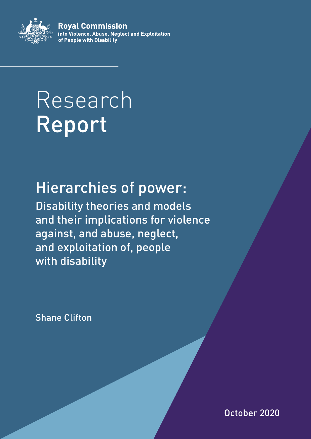

**Roval Commission** into Violence, Abuse, Neglect and Exploitation of People with Disability

# Research Report

## Hierarchies of power:

Disability theories and models and their implications for violence against, and abuse, neglect, and exploitation of, people with disability

Shane Clifton

October 2020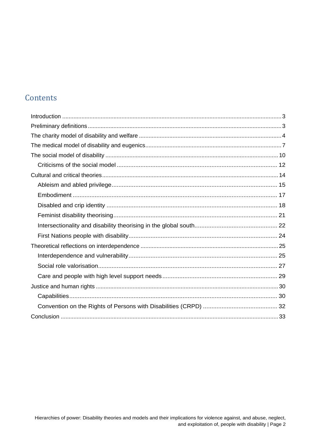#### Contents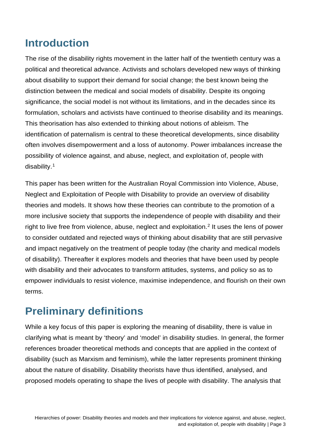## <span id="page-2-0"></span>**Introduction**

The rise of the disability rights movement in the latter half of the twentieth century was a political and theoretical advance. Activists and scholars developed new ways of thinking about disability to support their demand for social change; the best known being the distinction between the medical and social models of disability. Despite its ongoing significance, the social model is not without its limitations, and in the decades since its formulation, scholars and activists have continued to theorise disability and its meanings. This theorisation has also extended to thinking about notions of ableism. The identification of paternalism is central to these theoretical developments, since disability often involves disempowerment and a loss of autonomy. Power imbalances increase the possibility of violence against, and abuse, neglect, and exploitation of, people with disability. [1](#page-35-0)

This paper has been written for the Australian Royal Commission into Violence, Abuse, Neglect and Exploitation of People with Disability to provide an overview of disability theories and models. It shows how these theories can contribute to the promotion of a more inclusive society that supports the independence of people with disability and their right to live free from violence, abuse, neglect and exploitation. [2](#page-35-1) It uses the lens of power to consider outdated and rejected ways of thinking about disability that are still pervasive and impact negatively on the treatment of people today (the charity and medical models of disability). Thereafter it explores models and theories that have been used by people with disability and their advocates to transform attitudes, systems, and policy so as to empower individuals to resist violence, maximise independence, and flourish on their own terms.

## <span id="page-2-1"></span>**Preliminary definitions**

While a key focus of this paper is exploring the meaning of disability, there is value in clarifying what is meant by 'theory' and 'model' in disability studies. In general, the former references broader theoretical methods and concepts that are applied in the context of disability (such as Marxism and feminism), while the latter represents prominent thinking about the nature of disability. Disability theorists have thus identified, analysed, and proposed models operating to shape the lives of people with disability. The analysis that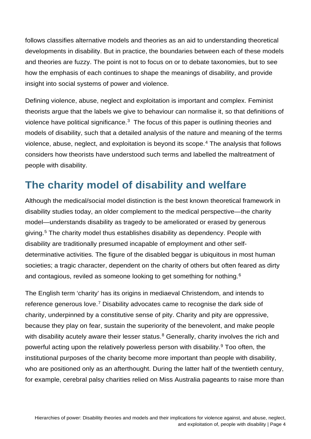follows classifies alternative models and theories as an aid to understanding theoretical developments in disability. But in practice, the boundaries between each of these models and theories are fuzzy. The point is not to focus on or to debate taxonomies, but to see how the emphasis of each continues to shape the meanings of disability, and provide insight into social systems of power and violence.

Defining violence, abuse, neglect and exploitation is important and complex. Feminist theorists argue that the labels we give to behaviour can normalise it, so that definitions of violence have political significance.<sup>3</sup> The focus of this paper is outlining theories and models of disability, such that a detailed analysis of the nature and meaning of the terms violence, abuse, neglect, and exploitation is beyond its scope.[4](#page-35-3) The analysis that follows considers how theorists have understood such terms and labelled the maltreatment of people with disability.

## <span id="page-3-0"></span>**The charity model of disability and welfare**

Although the medical/social model distinction is the best known theoretical framework in disability studies today, an older complement to the medical perspective—the charity model—understands disability as tragedy to be ameliorated or erased by generous giving.[5](#page-35-4) The charity model thus establishes disability as dependency. People with disability are traditionally presumed incapable of employment and other selfdeterminative activities. The figure of the disabled beggar is ubiquitous in most human societies; a tragic character, dependent on the charity of others but often feared as dirty and contagious, reviled as someone looking to get something for nothing.[6](#page-35-5)

The English term 'charity' has its origins in mediaeval Christendom, and intends to reference generous love.[7](#page-35-6) Disability advocates came to recognise the dark side of charity, underpinned by a constitutive sense of pity. Charity and pity are oppressive, because they play on fear, sustain the superiority of the benevolent, and make people with disability acutely aware their lesser status. $8$  Generally, charity involves the rich and powerful acting upon the relatively powerless person with disability.[9](#page-35-8) Too often, the institutional purposes of the charity become more important than people with disability, who are positioned only as an afterthought. During the latter half of the twentieth century, for example, cerebral palsy charities relied on Miss Australia pageants to raise more than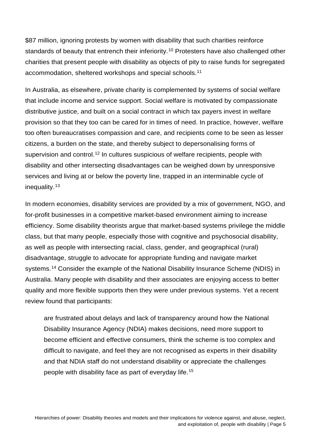\$87 million, ignoring protests by women with disability that such charities reinforce standards of beauty that entrench their inferiority.<sup>[10](#page-35-9)</sup> Protesters have also challenged other charities that present people with disability as objects of pity to raise funds for segregated accommodation, sheltered workshops and special schools.[11](#page-35-10)

In Australia, as elsewhere, private charity is complemented by systems of social welfare that include income and service support. Social welfare is motivated by compassionate distributive justice, and built on a social contract in which tax payers invest in welfare provision so that they too can be cared for in times of need. In practice, however, welfare too often bureaucratises compassion and care, and recipients come to be seen as lesser citizens, a burden on the state, and thereby subject to depersonalising forms of supervision and control.<sup>[12](#page-35-11)</sup> In cultures suspicious of welfare recipients, people with disability and other intersecting disadvantages can be weighed down by unresponsive services and living at or below the poverty line, trapped in an interminable cycle of inequality.[13](#page-35-12)

In modern economies, disability services are provided by a mix of government, NGO, and for-profit businesses in a competitive market-based environment aiming to increase efficiency. Some disability theorists argue that market-based systems privilege the middle class, but that many people, especially those with cognitive and psychosocial disability, as well as people with intersecting racial, class, gender, and geographical (rural) disadvantage, struggle to advocate for appropriate funding and navigate market systems.[14](#page-35-13) Consider the example of the National Disability Insurance Scheme (NDIS) in Australia. Many people with disability and their associates are enjoying access to better quality and more flexible supports then they were under previous systems. Yet a recent review found that participants:

are frustrated about delays and lack of transparency around how the National Disability Insurance Agency (NDIA) makes decisions, need more support to become efficient and effective consumers, think the scheme is too complex and difficult to navigate, and feel they are not recognised as experts in their disability and that NDIA staff do not understand disability or appreciate the challenges people with disability face as part of everyday life.[15](#page-36-0)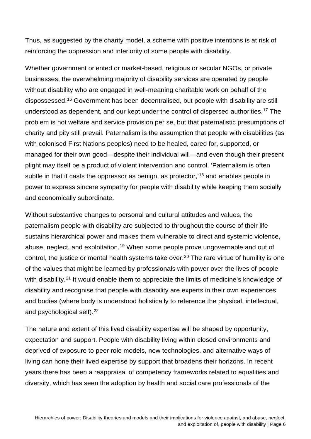Thus, as suggested by the charity model, a scheme with positive intentions is at risk of reinforcing the oppression and inferiority of some people with disability.

Whether government oriented or market-based, religious or secular NGOs, or private businesses, the overwhelming majority of disability services are operated by people without disability who are engaged in well-meaning charitable work on behalf of the dispossessed.[16](#page-36-1) Government has been decentralised, but people with disability are still understood as dependent, and our kept under the control of dispersed authorities.[17](#page-36-2) The problem is not welfare and service provision per se, but that paternalistic presumptions of charity and pity still prevail. Paternalism is the assumption that people with disabilities (as with colonised First Nations peoples) need to be healed, cared for, supported, or managed for their own good—despite their individual will—and even though their present plight may itself be a product of violent intervention and control. 'Paternalism is often subtle in that it casts the oppressor as benign, as protector,<sup>[18](#page-36-3)</sup> and enables people in power to express sincere sympathy for people with disability while keeping them socially and economically subordinate.

Without substantive changes to personal and cultural attitudes and values, the paternalism people with disability are subjected to throughout the course of their life sustains hierarchical power and makes them vulnerable to direct and systemic violence, abuse, neglect, and exploitation.[19](#page-36-4) When some people prove ungovernable and out of control, the justice or mental health systems take over.<sup>[20](#page-36-5)</sup> The rare virtue of humility is one of the values that might be learned by professionals with power over the lives of people with disability.<sup>[21](#page-36-6)</sup> It would enable them to appreciate the limits of medicine's knowledge of disability and recognise that people with disability are experts in their own experiences and bodies (where body is understood holistically to reference the physical, intellectual, and psychological self).<sup>[22](#page-36-7)</sup>

The nature and extent of this lived disability expertise will be shaped by opportunity, expectation and support. People with disability living within closed environments and deprived of exposure to peer role models, new technologies, and alternative ways of living can hone their lived expertise by support that broadens their horizons. In recent years there has been a reappraisal of competency frameworks related to equalities and diversity, which has seen the adoption by health and social care professionals of the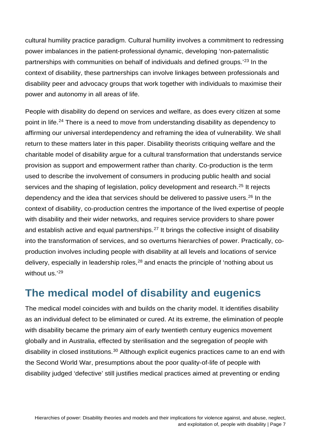cultural humility practice paradigm. Cultural humility involves a commitment to redressing power imbalances in the patient-professional dynamic, developing 'non-paternalistic partnerships with communities on behalf of individuals and defined groups.' [23](#page-36-8) In the context of disability, these partnerships can involve linkages between professionals and disability peer and advocacy groups that work together with individuals to maximise their power and autonomy in all areas of life.

People with disability do depend on services and welfare, as does every citizen at some point in life.[24](#page-36-9) There is a need to move from understanding disability as dependency to affirming our universal interdependency and reframing the idea of vulnerability. We shall return to these matters later in this paper. Disability theorists critiquing welfare and the charitable model of disability argue for a cultural transformation that understands service provision as support and empowerment rather than charity. Co-production is the term used to describe the involvement of consumers in producing public health and social services and the shaping of legislation, policy development and research.<sup>[25](#page-36-10)</sup> It rejects dependency and the idea that services should be delivered to passive users.<sup>[26](#page-36-11)</sup> In the context of disability, co-production centres the importance of the lived expertise of people with disability and their wider networks, and requires service providers to share power and establish active and equal partnerships.<sup>[27](#page-36-12)</sup> It brings the collective insight of disability into the transformation of services, and so overturns hierarchies of power. Practically, coproduction involves including people with disability at all levels and locations of service delivery, especially in leadership roles,<sup>[28](#page-36-13)</sup> and enacts the principle of 'nothing about us without us.'[29](#page-36-14)

### <span id="page-6-0"></span>**The medical model of disability and eugenics**

The medical model coincides with and builds on the charity model. It identifies disability as an individual defect to be eliminated or cured. At its extreme, the elimination of people with disability became the primary aim of early twentieth century eugenics movement globally and in Australia, effected by sterilisation and the segregation of people with disability in closed institutions.<sup>[30](#page-36-15)</sup> Although explicit eugenics practices came to an end with the Second World War, presumptions about the poor quality-of-life of people with disability judged 'defective' still justifies medical practices aimed at preventing or ending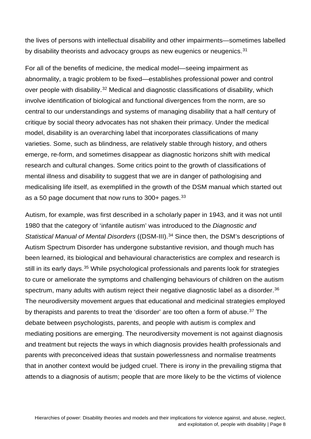the lives of persons with intellectual disability and other impairments—sometimes labelled by disability theorists and advocacy groups as new eugenics or neugenics.<sup>[31](#page-37-0)</sup>

For all of the benefits of medicine, the medical model—seeing impairment as abnormality, a tragic problem to be fixed—establishes professional power and control over people with disability.<sup>[32](#page-37-1)</sup> Medical and diagnostic classifications of disability, which involve identification of biological and functional divergences from the norm, are so central to our understandings and systems of managing disability that a half century of critique by social theory advocates has not shaken their primacy. Under the medical model, disability is an overarching label that incorporates classifications of many varieties. Some, such as blindness, are relatively stable through history, and others emerge, re-form, and sometimes disappear as diagnostic horizons shift with medical research and cultural changes. Some critics point to the growth of classifications of mental illness and disability to suggest that we are in danger of pathologising and medicalising life itself, as exemplified in the growth of the DSM manual which started out as a 50 page document that now runs to  $300+$  pages.  $33$ 

Autism, for example, was first described in a scholarly paper in 1943, and it was not until 1980 that the category of 'infantile autism' was introduced to the *Diagnostic and Statistical Manual of Mental Disorders* ((DSM-III).[34](#page-37-3) Since then, the DSM's descriptions of Autism Spectrum Disorder has undergone substantive revision, and though much has been learned, its biological and behavioural characteristics are complex and research is still in its early days.<sup>[35](#page-37-4)</sup> While psychological professionals and parents look for strategies to cure or ameliorate the symptoms and challenging behaviours of children on the autism spectrum, many adults with autism reject their negative diagnostic label as a disorder.<sup>[36](#page-37-5)</sup> The neurodiversity movement argues that educational and medicinal strategies employed by therapists and parents to treat the 'disorder' are too often a form of abuse.<sup>[37](#page-37-6)</sup> The debate between psychologists, parents, and people with autism is complex and mediating positions are emerging. The neurodiversity movement is not against diagnosis and treatment but rejects the ways in which diagnosis provides health professionals and parents with preconceived ideas that sustain powerlessness and normalise treatments that in another context would be judged cruel. There is irony in the prevailing stigma that attends to a diagnosis of autism; people that are more likely to be the victims of violence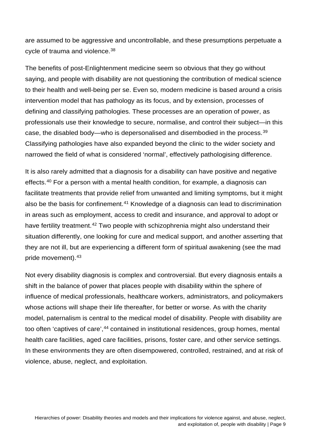are assumed to be aggressive and uncontrollable, and these presumptions perpetuate a cycle of trauma and violence.[38](#page-37-7)

The benefits of post-Enlightenment medicine seem so obvious that they go without saying, and people with disability are not questioning the contribution of medical science to their health and well-being per se. Even so, modern medicine is based around a crisis intervention model that has pathology as its focus, and by extension, processes of defining and classifying pathologies. These processes are an operation of power, as professionals use their knowledge to secure, normalise, and control their subject—in this case, the disabled body—who is depersonalised and disembodied in the process.[39](#page-37-8) Classifying pathologies have also expanded beyond the clinic to the wider society and narrowed the field of what is considered 'normal', effectively pathologising difference.

It is also rarely admitted that a diagnosis for a disability can have positive and negative effects.<sup>[40](#page-37-9)</sup> For a person with a mental health condition, for example, a diagnosis can facilitate treatments that provide relief from unwanted and limiting symptoms, but it might also be the basis for confinement.<sup>[41](#page-37-10)</sup> Knowledge of a diagnosis can lead to discrimination in areas such as employment, access to credit and insurance, and approval to adopt or have fertility treatment.<sup>[42](#page-37-11)</sup> Two people with schizophrenia might also understand their situation differently, one looking for cure and medical support, and another asserting that they are not ill, but are experiencing a different form of spiritual awakening (see the mad pride movement).[43](#page-37-12)

Not every disability diagnosis is complex and controversial. But every diagnosis entails a shift in the balance of power that places people with disability within the sphere of influence of medical professionals, healthcare workers, administrators, and policymakers whose actions will shape their life thereafter, for better or worse. As with the charity model, paternalism is central to the medical model of disability. People with disability are too often 'captives of care',<sup>[44](#page-37-13)</sup> contained in institutional residences, group homes, mental health care facilities, aged care facilities, prisons, foster care, and other service settings. In these environments they are often disempowered, controlled, restrained, and at risk of violence, abuse, neglect, and exploitation.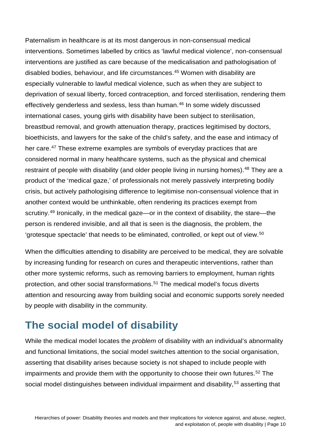Paternalism in healthcare is at its most dangerous in non-consensual medical interventions. Sometimes labelled by critics as 'lawful medical violence', non-consensual interventions are justified as care because of the medicalisation and pathologisation of disabled bodies, behaviour, and life circumstances.<sup>[45](#page-37-14)</sup> Women with disability are especially vulnerable to lawful medical violence, such as when they are subject to deprivation of sexual liberty, forced contraception, and forced sterilisation, rendering them effectively genderless and sexless, less than human.<sup>[46](#page-37-15)</sup> In some widely discussed international cases, young girls with disability have been subject to sterilisation, breastbud removal, and growth attenuation therapy, practices legitimised by doctors, bioethicists, and lawyers for the sake of the child's safety, and the ease and intimacy of her care.<sup>[47](#page-37-16)</sup> These extreme examples are symbols of everyday practices that are considered normal in many healthcare systems, such as the physical and chemical restraint of people with disability (and older people living in nursing homes).<sup>[48](#page-37-17)</sup> They are a product of the 'medical gaze,' of professionals not merely passively interpreting bodily crisis, but actively pathologising difference to legitimise non-consensual violence that in another context would be unthinkable, often rendering its practices exempt from scrutiny.[49](#page-37-18) Ironically, in the medical gaze—or in the context of disability, the stare—the person is rendered invisible, and all that is seen is the diagnosis, the problem, the 'grotesque spectacle' that needs to be eliminated, controlled, or kept out of view.[50](#page-37-19)

When the difficulties attending to disability are perceived to be medical, they are solvable by increasing funding for research on cures and therapeutic interventions, rather than other more systemic reforms, such as removing barriers to employment, human rights protection, and other social transformations.[51](#page-37-20) The medical model's focus diverts attention and resourcing away from building social and economic supports sorely needed by people with disability in the community.

## <span id="page-9-0"></span>**The social model of disability**

While the medical model locates the *problem* of disability with an individual's abnormality and functional limitations, the social model switches attention to the social organisation, asserting that disability arises because society is not shaped to include people with impairments and provide them with the opportunity to choose their own futures.<sup>[52](#page-37-21)</sup> The social model distinguishes between individual impairment and disability,<sup>[53](#page-37-22)</sup> asserting that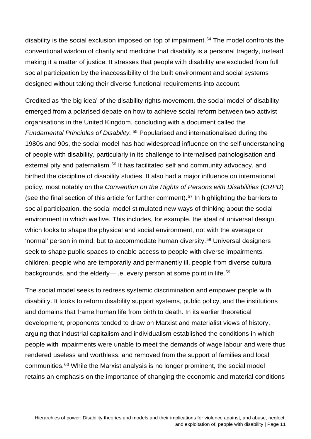disability is the social exclusion imposed on top of impairment.<sup>[54](#page-37-23)</sup> The model confronts the conventional wisdom of charity and medicine that disability is a personal tragedy, instead making it a matter of justice. It stresses that people with disability are excluded from full social participation by the inaccessibility of the built environment and social systems designed without taking their diverse functional requirements into account.

Credited as 'the big idea' of the disability rights movement, the social model of disability emerged from a polarised debate on how to achieve social reform between two activist organisations in the United Kingdom, concluding with a document called the *Fundamental Principles of Disability.* [55](#page-37-24) Popularised and internationalised during the 1980s and 90s, the social model has had widespread influence on the self-understanding of people with disability, particularly in its challenge to internalised pathologisation and external pity and paternalism.<sup>[56](#page-38-0)</sup> It has facilitated self and community advocacy, and birthed the discipline of disability studies. It also had a major influence on international policy, most notably on the *Convention on the Rights of Persons with Disabilities* (*CRPD*) (see the final section of this article for further comment).<sup>[57](#page-38-1)</sup> In highlighting the barriers to social participation, the social model stimulated new ways of thinking about the social environment in which we live. This includes, for example, the ideal of universal design, which looks to shape the physical and social environment, not with the average or 'normal' person in mind, but to accommodate human diversity.[58](#page-38-2) Universal designers seek to shape public spaces to enable access to people with diverse impairments, children, people who are temporarily and permanently ill, people from diverse cultural backgrounds, and the elderly—i.e. every person at some point in life.<sup>[59](#page-38-3)</sup>

The social model seeks to redress systemic discrimination and empower people with disability. It looks to reform disability support systems, public policy, and the institutions and domains that frame human life from birth to death. In its earlier theoretical development, proponents tended to draw on Marxist and materialist views of history, arguing that industrial capitalism and individualism established the conditions in which people with impairments were unable to meet the demands of wage labour and were thus rendered useless and worthless, and removed from the support of families and local communities.[60](#page-38-4) While the Marxist analysis is no longer prominent, the social model retains an emphasis on the importance of changing the economic and material conditions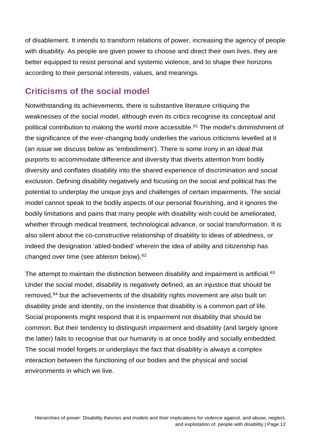of disablement. It intends to transform relations of power, increasing the agency of people with disability. As people are given power to choose and direct their own lives, they are better equipped to resist personal and systemic violence, and to shape their horizons according to their personal interests, values, and meanings.

#### <span id="page-11-0"></span>**Criticisms of the social model**

Notwithstanding its achievements, there is substantive literature critiquing the weaknesses of the social model, although even its critics recognise its conceptual and political contribution to making the world more accessible.<sup>[61](#page-38-5)</sup> The model's diminishment of the significance of the ever-changing body underlies the various criticisms levelled at it (an issue we discuss below as 'embodiment'). There is some irony in an ideal that purports to accommodate difference and diversity that diverts attention from bodily diversity and conflates disability into the shared experience of discrimination and social exclusion. Defining disability negatively and focusing on the social and political has the potential to underplay the unique joys and challenges of certain impairments. The social model cannot speak to the bodily aspects of our personal flourishing, and it ignores the bodily limitations and pains that many people with disability wish could be ameliorated, whether through medical treatment, technological advance, or social transformation. It is also silent about the co-constructive relationship of disability to ideas of abledness, or indeed the designation 'abled-bodied' wherein the idea of ability and citizenship has changed over time (see ableism below).[62](#page-38-6)

The attempt to maintain the distinction between disability and impairment is artificial.<sup>[63](#page-38-7)</sup> Under the social model, disability is negatively defined, as an injustice that should be removed, <sup>[64](#page-38-8)</sup> but the achievements of the disability rights movement are also built on disability pride and identity, on the insistence that disability is a common part of life. Social proponents might respond that it is impairment not disability that should be common. But their tendency to distinguish impairment and disability (and largely ignore the latter) fails to recognise that our humanity is at once bodily and socially embedded. The social model forgets or underplays the fact that disability is always a complex interaction between the functioning of our bodies and the physical and social environments in which we live.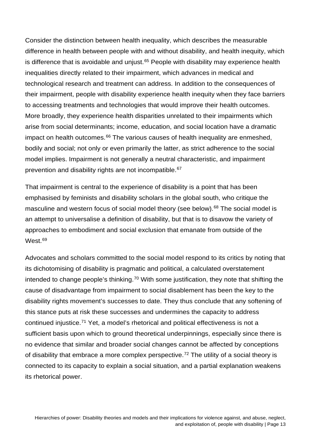Consider the distinction between health inequality, which describes the measurable difference in health between people with and without disability, and health inequity, which is difference that is avoidable and unjust.<sup>[65](#page-38-9)</sup> People with disability may experience health inequalities directly related to their impairment, which advances in medical and technological research and treatment can address. In addition to the consequences of their impairment, people with disability experience health inequity when they face barriers to accessing treatments and technologies that would improve their health outcomes. More broadly, they experience health disparities unrelated to their impairments which arise from social determinants; income, education, and social location have a dramatic impact on health outcomes.<sup>[66](#page-38-10)</sup> The various causes of health inequality are enmeshed, bodily and social; not only or even primarily the latter, as strict adherence to the social model implies. Impairment is not generally a neutral characteristic, and impairment prevention and disability rights are not incompatible.<sup>[67](#page-38-11)</sup>

That impairment is central to the experience of disability is a point that has been emphasised by feminists and disability scholars in the global south, who critique the masculine and western focus of social model theory (see below).<sup>[68](#page-38-12)</sup> The social model is an attempt to universalise a definition of disability, but that is to disavow the variety of approaches to embodiment and social exclusion that emanate from outside of the West.<sup>[69](#page-38-13)</sup>

Advocates and scholars committed to the social model respond to its critics by noting that its dichotomising of disability is pragmatic and political, a calculated overstatement intended to change people's thinking.<sup>[70](#page-38-14)</sup> With some justification, they note that shifting the cause of disadvantage from impairment to social disablement has been the key to the disability rights movement's successes to date. They thus conclude that any softening of this stance puts at risk these successes and undermines the capacity to address continued injustice.[71](#page-38-15) Yet, a model's rhetorical and political effectiveness is not a sufficient basis upon which to ground theoretical underpinnings, especially since there is no evidence that similar and broader social changes cannot be affected by conceptions of disability that embrace a more complex perspective.<sup>[72](#page-38-16)</sup> The utility of a social theory is connected to its capacity to explain a social situation, and a partial explanation weakens its rhetorical power.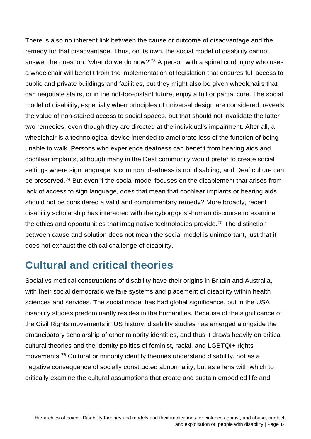There is also no inherent link between the cause or outcome of disadvantage and the remedy for that disadvantage. Thus, on its own, the social model of disability cannot answer the question, 'what do we do now?'<sup>[73](#page-38-17)</sup> A person with a spinal cord injury who uses a wheelchair will benefit from the implementation of legislation that ensures full access to public and private buildings and facilities, but they might also be given wheelchairs that can negotiate stairs, or in the not-too-distant future, enjoy a full or partial cure. The social model of disability, especially when principles of universal design are considered, reveals the value of non-staired access to social spaces, but that should not invalidate the latter two remedies, even though they are directed at the individual's impairment. After all, a wheelchair is a technological device intended to ameliorate loss of the function of being unable to walk. Persons who experience deafness can benefit from hearing aids and cochlear implants, although many in the Deaf community would prefer to create social settings where sign language is common, deafness is not disabling, and Deaf culture can be preserved.<sup>[74](#page-38-18)</sup> But even if the social model focuses on the disablement that arises from lack of access to sign language, does that mean that cochlear implants or hearing aids should not be considered a valid and complimentary remedy? More broadly, recent disability scholarship has interacted with the cyborg/post-human discourse to examine the ethics and opportunities that imaginative technologies provide.<sup>[75](#page-38-19)</sup> The distinction between cause and solution does not mean the social model is unimportant, just that it does not exhaust the ethical challenge of disability.

## <span id="page-13-0"></span>**Cultural and critical theories**

Social vs medical constructions of disability have their origins in Britain and Australia, with their social democratic welfare systems and placement of disability within health sciences and services. The social model has had global significance, but in the USA disability studies predominantly resides in the humanities. Because of the significance of the Civil Rights movements in US history, disability studies has emerged alongside the emancipatory scholarship of other minority identities, and thus it draws heavily on critical cultural theories and the identity politics of feminist, racial, and LGBTQI+ rights movements.[76](#page-38-20) Cultural or minority identity theories understand disability, not as a negative consequence of socially constructed abnormality, but as a lens with which to critically examine the cultural assumptions that create and sustain embodied life and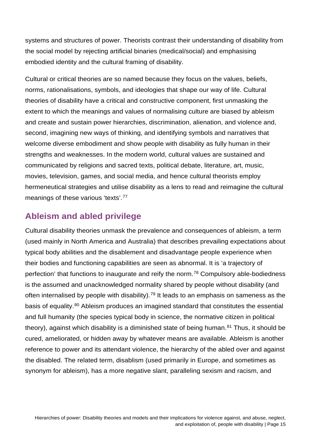systems and structures of power. Theorists contrast their understanding of disability from the social model by rejecting artificial binaries (medical/social) and emphasising embodied identity and the cultural framing of disability.

Cultural or critical theories are so named because they focus on the values, beliefs, norms, rationalisations, symbols, and ideologies that shape our way of life. Cultural theories of disability have a critical and constructive component, first unmasking the extent to which the meanings and values of normalising culture are biased by ableism and create and sustain power hierarchies, discrimination, alienation, and violence and, second, imagining new ways of thinking, and identifying symbols and narratives that welcome diverse embodiment and show people with disability as fully human in their strengths and weaknesses. In the modern world, cultural values are sustained and communicated by religions and sacred texts, political debate, literature, art, music, movies, television, games, and social media, and hence cultural theorists employ hermeneutical strategies and utilise disability as a lens to read and reimagine the cultural meanings of these various 'texts'.<sup>[77](#page-38-21)</sup>

#### <span id="page-14-0"></span>**Ableism and abled privilege**

Cultural disability theories unmask the prevalence and consequences of ableism, a term (used mainly in North America and Australia) that describes prevailing expectations about typical body abilities and the disablement and disadvantage people experience when their bodies and functioning capabilities are seen as abnormal. It is 'a trajectory of perfection' that functions to inaugurate and reify the norm. [78](#page-38-22) Compulsory able-bodiedness is the assumed and unacknowledged normality shared by people without disability (and often internalised by people with disability).<sup>[79](#page-38-23)</sup> It leads to an emphasis on sameness as the basis of equality.[80](#page-38-24) Ableism produces an imagined standard that constitutes the essential and full humanity (the species typical body in science, the normative citizen in political theory), against which disability is a diminished state of being human.<sup>[81](#page-38-25)</sup> Thus, it should be cured, ameliorated, or hidden away by whatever means are available. Ableism is another reference to power and its attendant violence, the hierarchy of the abled over and against the disabled. The related term, disablism (used primarily in Europe, and sometimes as synonym for ableism), has a more negative slant, paralleling sexism and racism, and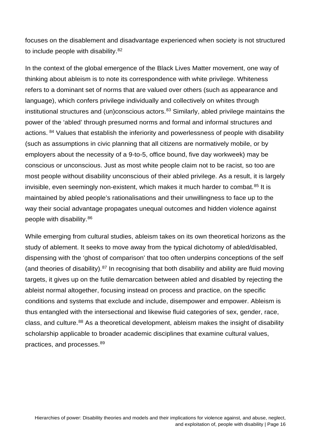focuses on the disablement and disadvantage experienced when society is not structured to include people with disability.<sup>[82](#page-39-0)</sup>

In the context of the global emergence of the Black Lives Matter movement, one way of thinking about ableism is to note its correspondence with white privilege. Whiteness refers to a dominant set of norms that are valued over others (such as appearance and language), which confers privilege individually and collectively on whites through institutional structures and (un)conscious actors.<sup>[83](#page-39-1)</sup> Similarly, abled privilege maintains the power of the 'abled' through presumed norms and formal and informal structures and actions. [84](#page-39-2) Values that establish the inferiority and powerlessness of people with disability (such as assumptions in civic planning that all citizens are normatively mobile, or by employers about the necessity of a 9-to-5, office bound, five day workweek) may be conscious or unconscious. Just as most white people claim not to be racist, so too are most people without disability unconscious of their abled privilege. As a result, it is largely invisible, even seemingly non-existent, which makes it much harder to combat.<sup>[85](#page-39-3)</sup> It is maintained by abled people's rationalisations and their unwillingness to face up to the way their social advantage propagates unequal outcomes and hidden violence against people with disability.[86](#page-39-4)

While emerging from cultural studies, ableism takes on its own theoretical horizons as the study of ablement. It seeks to move away from the typical dichotomy of abled/disabled, dispensing with the 'ghost of comparison' that too often underpins conceptions of the self (and theories of disability).[87](#page-39-5) In recognising that both disability and ability are fluid moving targets, it gives up on the futile demarcation between abled and disabled by rejecting the ableist normal altogether, focusing instead on process and practice, on the specific conditions and systems that exclude and include, disempower and empower. Ableism is thus entangled with the intersectional and likewise fluid categories of sex, gender, race, class, and culture.[88](#page-39-6) As a theoretical development, ableism makes the insight of disability scholarship applicable to broader academic disciplines that examine cultural values, practices, and processes.[89](#page-39-7)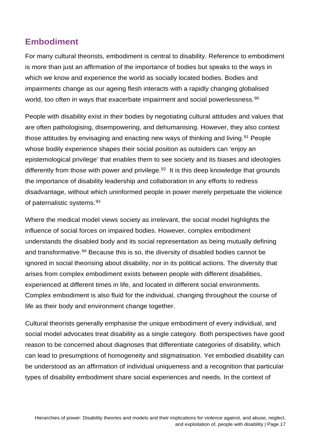#### <span id="page-16-0"></span>**Embodiment**

For many cultural theorists, embodiment is central to disability. Reference to embodiment is more than just an affirmation of the importance of bodies but speaks to the ways in which we know and experience the world as socially located bodies. Bodies and impairments change as our ageing flesh interacts with a rapidly changing globalised world, too often in ways that exacerbate impairment and social powerlessness.<sup>[90](#page-39-8)</sup>

People with disability exist in their bodies by negotiating cultural attitudes and values that are often pathologising, disempowering, and dehumanising. However, they also contest those attitudes by envisaging and enacting new ways of thinking and living.<sup>[91](#page-39-9)</sup> People whose bodily experience shapes their social position as outsiders can 'enjoy an epistemological privilege' that enables them to see society and its biases and ideologies differently from those with power and privilege.<sup>92</sup> It is this deep knowledge that grounds the importance of disability leadership and collaboration in any efforts to redress disadvantage, without which uninformed people in power merely perpetuate the violence of paternalistic systems.[93](#page-39-11)

Where the medical model views society as irrelevant, the social model highlights the influence of social forces on impaired bodies. However, complex embodiment understands the disabled body and its social representation as being mutually defining and transformative.<sup>[94](#page-39-12)</sup> Because this is so, the diversity of disabled bodies cannot be ignored in social theorising about disability, nor in its political actions. The diversity that arises from complex embodiment exists between people with different disabilities, experienced at different times in life, and located in different social environments. Complex embodiment is also fluid for the individual, changing throughout the course of life as their body and environment change together.

Cultural theorists generally emphasise the unique embodiment of every individual, and social model advocates treat disability as a single category. Both perspectives have good reason to be concerned about diagnoses that differentiate categories of disability, which can lead to presumptions of homogeneity and stigmatisation. Yet embodied disability can be understood as an affirmation of individual uniqueness and a recognition that particular types of disability embodiment share social experiences and needs. In the context of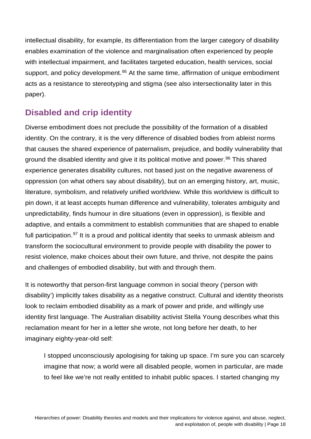intellectual disability, for example, its differentiation from the larger category of disability enables examination of the violence and marginalisation often experienced by people with intellectual impairment, and facilitates targeted education, health services, social support, and policy development.<sup>[95](#page-39-13)</sup> At the same time, affirmation of unique embodiment acts as a resistance to stereotyping and stigma (see also intersectionality later in this paper).

#### <span id="page-17-0"></span>**Disabled and crip identity**

Diverse embodiment does not preclude the possibility of the formation of a disabled identity. On the contrary, it is the very difference of disabled bodies from ableist norms that causes the shared experience of paternalism, prejudice, and bodily vulnerability that ground the disabled identity and give it its political motive and power.<sup>[96](#page-39-14)</sup> This shared experience generates disability cultures, not based just on the negative awareness of oppression (on what others say about disability), but on an emerging history, art, music, literature, symbolism, and relatively unified worldview. While this worldview is difficult to pin down, it at least accepts human difference and vulnerability, tolerates ambiguity and unpredictability, finds humour in dire situations (even in oppression), is flexible and adaptive, and entails a commitment to establish communities that are shaped to enable full participation.<sup>[97](#page-39-15)</sup> It is a proud and political identity that seeks to unmask ableism and transform the sociocultural environment to provide people with disability the power to resist violence, make choices about their own future, and thrive, not despite the pains and challenges of embodied disability, but with and through them.

It is noteworthy that person-first language common in social theory ('person with disability') implicitly takes disability as a negative construct. Cultural and identity theorists look to reclaim embodied disability as a mark of power and pride, and willingly use identity first language. The Australian disability activist Stella Young describes what this reclamation meant for her in a letter she wrote, not long before her death, to her imaginary eighty-year-old self:

I stopped unconsciously apologising for taking up space. I'm sure you can scarcely imagine that now; a world were all disabled people, women in particular, are made to feel like we're not really entitled to inhabit public spaces. I started changing my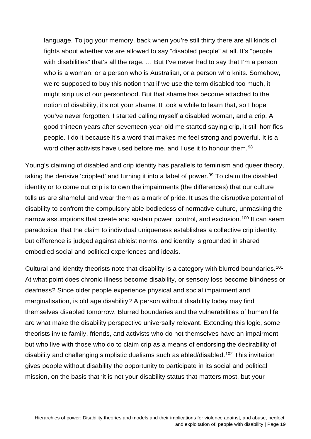language. To jog your memory, back when you're still thirty there are all kinds of fights about whether we are allowed to say "disabled people" at all. It's "people with disabilities" that's all the rage. ... But I've never had to say that I'm a person who is a woman, or a person who is Australian, or a person who knits. Somehow, we're supposed to buy this notion that if we use the term disabled too much, it might strip us of our personhood. But that shame has become attached to the notion of disability, it's not your shame. It took a while to learn that, so I hope you've never forgotten. I started calling myself a disabled woman, and a crip. A good thirteen years after seventeen-year-old me started saying crip, it still horrifies people. I do it because it's a word that makes me feel strong and powerful. It is a word other activists have used before me, and I use it to honour them.<sup>[98](#page-39-16)</sup>

Young's claiming of disabled and crip identity has parallels to feminism and queer theory, taking the derisive 'crippled' and turning it into a label of power.<sup>[99](#page-39-17)</sup> To claim the disabled identity or to come out crip is to own the impairments (the differences) that our culture tells us are shameful and wear them as a mark of pride. It uses the disruptive potential of disability to confront the compulsory able-bodiedess of normative culture, unmasking the narrow assumptions that create and sustain power, control, and exclusion.<sup>[100](#page-39-18)</sup> It can seem paradoxical that the claim to individual uniqueness establishes a collective crip identity, but difference is judged against ableist norms, and identity is grounded in shared embodied social and political experiences and ideals.

Cultural and identity theorists note that disability is a category with blurred boundaries.<sup>[101](#page-39-19)</sup> At what point does chronic illness become disability, or sensory loss become blindness or deafness? Since older people experience physical and social impairment and marginalisation, is old age disability? A person without disability today may find themselves disabled tomorrow. Blurred boundaries and the vulnerabilities of human life are what make the disability perspective universally relevant. Extending this logic, some theorists invite family, friends, and activists who do not themselves have an impairment but who live with those who do to claim crip as a means of endorsing the desirability of disability and challenging simplistic dualisms such as abled/disabled.[102](#page-39-20) This invitation gives people without disability the opportunity to participate in its social and political mission, on the basis that 'it is not your disability status that matters most, but your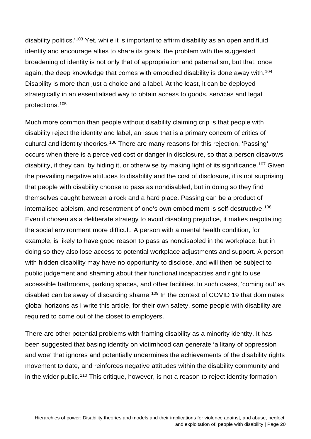disability politics.'[103](#page-39-21) Yet, while it is important to affirm disability as an open and fluid identity and encourage allies to share its goals, the problem with the suggested broadening of identity is not only that of appropriation and paternalism, but that, once again, the deep knowledge that comes with embodied disability is done away with.<sup>[104](#page-39-22)</sup> Disability is more than just a choice and a label. At the least, it can be deployed strategically in an essentialised way to obtain access to goods, services and legal protections.[105](#page-39-23)

Much more common than people without disability claiming crip is that people with disability reject the identity and label, an issue that is a primary concern of critics of cultural and identity theories.<sup>[106](#page-39-24)</sup> There are many reasons for this rejection. 'Passing' occurs when there is a perceived cost or danger in disclosure, so that a person disavows disability, if they can, by hiding it, or otherwise by making light of its significance.<sup>[107](#page-40-0)</sup> Given the prevailing negative attitudes to disability and the cost of disclosure, it is not surprising that people with disability choose to pass as nondisabled, but in doing so they find themselves caught between a rock and a hard place. Passing can be a product of internalised ableism, and resentment of one's own embodiment is self-destructive.[108](#page-40-1) Even if chosen as a deliberate strategy to avoid disabling prejudice, it makes negotiating the social environment more difficult. A person with a mental health condition, for example, is likely to have good reason to pass as nondisabled in the workplace, but in doing so they also lose access to potential workplace adjustments and support. A person with hidden disability may have no opportunity to disclose, and will then be subject to public judgement and shaming about their functional incapacities and right to use accessible bathrooms, parking spaces, and other facilities. In such cases, 'coming out' as disabled can be away of discarding shame.<sup>[109](#page-40-2)</sup> In the context of COVID 19 that dominates global horizons as I write this article, for their own safety, some people with disability are required to come out of the closet to employers.

There are other potential problems with framing disability as a minority identity. It has been suggested that basing identity on victimhood can generate 'a litany of oppression and woe' that ignores and potentially undermines the achievements of the disability rights movement to date, and reinforces negative attitudes within the disability community and in the wider public.<sup>[110](#page-40-3)</sup> This critique, however, is not a reason to reject identity formation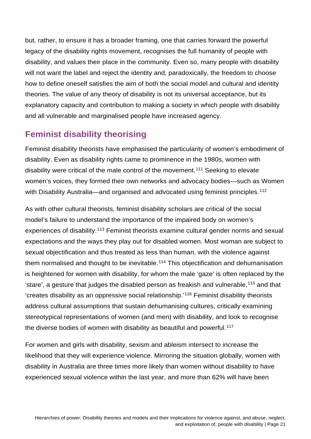but, rather, to ensure it has a broader framing, one that carries forward the powerful legacy of the disability rights movement, recognises the full humanity of people with disability, and values their place in the community. Even so, many people with disability will not want the label and reject the identity and, paradoxically, the freedom to choose how to define oneself satisfies the aim of both the social model and cultural and identity theories. The value of any theory of disability is not its universal acceptance, but its explanatory capacity and contribution to making a society in which people with disability and all vulnerable and marginalised people have increased agency.

#### <span id="page-20-0"></span>**Feminist disability theorising**

Feminist disability theorists have emphasised the particularity of women's embodiment of disability. Even as disability rights came to prominence in the 1980s, women with disability were critical of the male control of the movement.[111](#page-40-4) Seeking to elevate women's voices, they formed their own networks and advocacy bodies—such as Women with Disability Australia—and organised and advocated using feminist principles.<sup>[112](#page-40-5)</sup>

As with other cultural theorists, feminist disability scholars are critical of the social model's failure to understand the importance of the impaired body on women's experiences of disability.[113](#page-40-6) Feminist theorists examine cultural gender norms and sexual expectations and the ways they play out for disabled women. Most woman are subject to sexual objectification and thus treated as less than human, with the violence against them normalised and thought to be inevitable.<sup>[114](#page-40-7)</sup> This objectification and dehumanisation is heightened for women with disability, for whom the male 'gaze' is often replaced by the 'stare', a gesture that judges the disabled person as freakish and vulnerable,[115](#page-40-8) and that 'creates disability as an oppressive social relationship.'[116](#page-40-9) Feminist disability theorists address cultural assumptions that sustain dehumanising cultures, critically examining stereotypical representations of women (and men) with disability, and look to recognise the diverse bodies of women with disability as beautiful and powerful.<sup>[117](#page-40-10)</sup>

For women and girls with disability, sexism and ableism intersect to increase the likelihood that they will experience violence. Mirroring the situation globally, women with disability in Australia are three times more likely than women without disability to have experienced sexual violence within the last year, and more than 62% will have been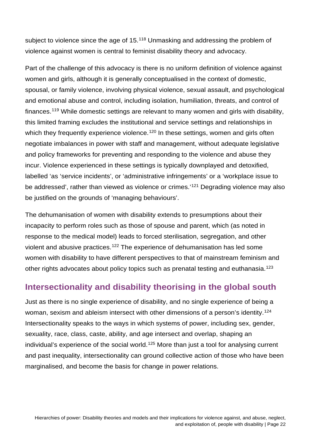subject to violence since the age of 15.<sup>[118](#page-40-11)</sup> Unmasking and addressing the problem of violence against women is central to feminist disability theory and advocacy.

Part of the challenge of this advocacy is there is no uniform definition of violence against women and girls, although it is generally conceptualised in the context of domestic, spousal, or family violence, involving physical violence, sexual assault, and psychological and emotional abuse and control, including isolation, humiliation, threats, and control of finances.[119](#page-40-12) While domestic settings are relevant to many women and girls with disability, this limited framing excludes the institutional and service settings and relationships in which they frequently experience violence.<sup>[120](#page-40-13)</sup> In these settings, women and girls often negotiate imbalances in power with staff and management, without adequate legislative and policy frameworks for preventing and responding to the violence and abuse they incur. Violence experienced in these settings is typically downplayed and detoxified, labelled 'as 'service incidents', or 'administrative infringements' or a 'workplace issue to be addressed', rather than viewed as violence or crimes.'<sup>[121](#page-40-14)</sup> Degrading violence may also be justified on the grounds of 'managing behaviours'.

The dehumanisation of women with disability extends to presumptions about their incapacity to perform roles such as those of spouse and parent, which (as noted in response to the medical model) leads to forced sterilisation, segregation, and other violent and abusive practices.<sup>[122](#page-40-15)</sup> The experience of dehumanisation has led some women with disability to have different perspectives to that of mainstream feminism and other rights advocates about policy topics such as prenatal testing and euthanasia.<sup>[123](#page-40-16)</sup>

#### <span id="page-21-0"></span>**Intersectionality and disability theorising in the global south**

Just as there is no single experience of disability, and no single experience of being a woman, sexism and ableism intersect with other dimensions of a person's identity.<sup>[124](#page-40-17)</sup> Intersectionality speaks to the ways in which systems of power, including sex, gender, sexuality, race, class, caste, ability, and age intersect and overlap, shaping an individual's experience of the social world.<sup>[125](#page-40-18)</sup> More than just a tool for analysing current and past inequality, intersectionality can ground collective action of those who have been marginalised, and become the basis for change in power relations.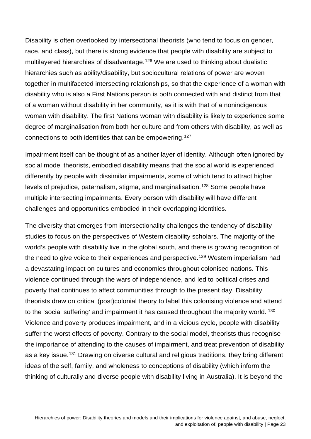Disability is often overlooked by intersectional theorists (who tend to focus on gender, race, and class), but there is strong evidence that people with disability are subject to multilayered hierarchies of disadvantage.<sup>[126](#page-40-19)</sup> We are used to thinking about dualistic hierarchies such as ability/disability, but sociocultural relations of power are woven together in multifaceted intersecting relationships, so that the experience of a woman with disability who is also a First Nations person is both connected with and distinct from that of a woman without disability in her community, as it is with that of a nonindigenous woman with disability. The first Nations woman with disability is likely to experience some degree of marginalisation from both her culture and from others with disability, as well as connections to both identities that can be empowering.[127](#page-40-20)

Impairment itself can be thought of as another layer of identity. Although often ignored by social model theorists, embodied disability means that the social world is experienced differently by people with dissimilar impairments, some of which tend to attract higher levels of prejudice, paternalism, stigma, and marginalisation.[128](#page-41-0) Some people have multiple intersecting impairments. Every person with disability will have different challenges and opportunities embodied in their overlapping identities.

The diversity that emerges from intersectionality challenges the tendency of disability studies to focus on the perspectives of Western disability scholars. The majority of the world's people with disability live in the global south, and there is growing recognition of the need to give voice to their experiences and perspective.<sup>[129](#page-41-1)</sup> Western imperialism had a devastating impact on cultures and economies throughout colonised nations. This violence continued through the wars of independence, and led to political crises and poverty that continues to affect communities through to the present day. Disability theorists draw on critical (post)colonial theory to label this colonising violence and attend to the 'social suffering' and impairment it has caused throughout the majority world. [130](#page-41-2) Violence and poverty produces impairment, and in a vicious cycle, people with disability suffer the worst effects of poverty. Contrary to the social model, theorists thus recognise the importance of attending to the causes of impairment, and treat prevention of disability as a key issue.<sup>[131](#page-41-3)</sup> Drawing on diverse cultural and religious traditions, they bring different ideas of the self, family, and wholeness to conceptions of disability (which inform the thinking of culturally and diverse people with disability living in Australia). It is beyond the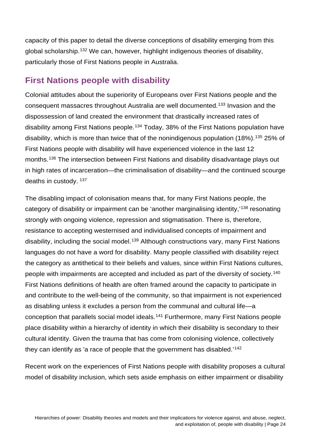capacity of this paper to detail the diverse conceptions of disability emerging from this global scholarship.[132](#page-41-4) We can, however, highlight indigenous theories of disability, particularly those of First Nations people in Australia.

#### <span id="page-23-0"></span>**First Nations people with disability**

Colonial attitudes about the superiority of Europeans over First Nations people and the consequent massacres throughout Australia are well documented.[133](#page-41-5) Invasion and the dispossession of land created the environment that drastically increased rates of disability among First Nations people.<sup>[134](#page-41-6)</sup> Today, 38% of the First Nations population have disability, which is more than twice that of the nonindigenous population (18%).<sup>[135](#page-41-7)</sup> 25% of First Nations people with disability will have experienced violence in the last 12 months.[136](#page-41-8) The intersection between First Nations and disability disadvantage plays out in high rates of incarceration—the criminalisation of disability—and the continued scourge deaths in custody. [137](#page-41-9)

The disabling impact of colonisation means that, for many First Nations people, the category of disability or impairment can be 'another marginalising identity,'[138](#page-41-10) resonating strongly with ongoing violence, repression and stigmatisation. There is, therefore, resistance to accepting westernised and individualised concepts of impairment and disability, including the social model.<sup>[139](#page-41-11)</sup> Although constructions vary, many First Nations languages do not have a word for disability. Many people classified with disability reject the category as antithetical to their beliefs and values, since within First Nations cultures, people with impairments are accepted and included as part of the diversity of society.[140](#page-41-12) First Nations definitions of health are often framed around the capacity to participate in and contribute to the well-being of the community, so that impairment is not experienced as disabling unless it excludes a person from the communal and cultural life—a conception that parallels social model ideals.[141](#page-41-13) Furthermore, many First Nations people place disability within a hierarchy of identity in which their disability is secondary to their cultural identity. Given the trauma that has come from colonising violence, collectively they can identify as 'a race of people that the government has disabled.'[142](#page-41-14)

Recent work on the experiences of First Nations people with disability proposes a cultural model of disability inclusion, which sets aside emphasis on either impairment or disability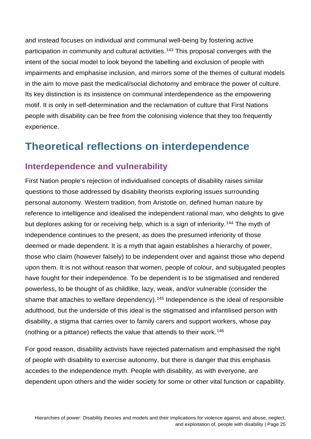and instead focuses on individual and communal well-being by fostering active participation in community and cultural activities.<sup>[143](#page-41-15)</sup> This proposal converges with the intent of the social model to look beyond the labelling and exclusion of people with impairments and emphasise inclusion, and mirrors some of the themes of cultural models in the aim to move past the medical/social dichotomy and embrace the power of culture. Its key distinction is its insistence on communal interdependence as the empowering motif. It is only in self-determination and the reclamation of culture that First Nations people with disability can be free from the colonising violence that they too frequently experience.

## <span id="page-24-0"></span>**Theoretical reflections on interdependence**

#### <span id="page-24-1"></span>**Interdependence and vulnerability**

First Nation people's rejection of individualised concepts of disability raises similar questions to those addressed by disability theorists exploring issues surrounding personal autonomy. Western tradition, from Aristotle on, defined human nature by reference to intelligence and idealised the independent rational *man*, who delights to give but deplores asking for or receiving help, which is a sign of inferiority.<sup>[144](#page-41-16)</sup> The myth of independence continues to the present, as does the presumed inferiority of those deemed or made dependent. It is a myth that again establishes a hierarchy of power, those who claim (however falsely) to be independent over and against those who depend upon them. It is not without reason that women, people of colour, and subjugated peoples have fought for their independence. To be dependent is to be stigmatised and rendered powerless, to be thought of as childlike, lazy, weak, and/or vulnerable (consider the shame that attaches to welfare dependency).<sup>[145](#page-41-17)</sup> Independence is the ideal of responsible adulthood, but the underside of this ideal is the stigmatised and infantilised person with disability, a stigma that carries over to family carers and support workers, whose pay (nothing or a pittance) reflects the value that attends to their work.[146](#page-41-18)

For good reason, disability activists have rejected paternalism and emphasised the right of people with disability to exercise autonomy, but there is danger that this emphasis accedes to the independence myth. People with disability, as with everyone, are dependent upon others and the wider society for some or other vital function or capability.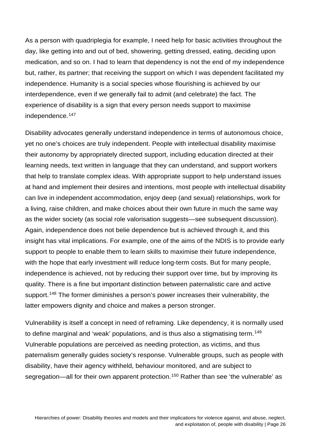As a person with quadriplegia for example, I need help for basic activities throughout the day, like getting into and out of bed, showering, getting dressed, eating, deciding upon medication, and so on. I had to learn that dependency is not the end of my independence but, rather, its partner; that receiving the support on which I was dependent facilitated my independence. Humanity is a social species whose flourishing is achieved by our interdependence, even if we generally fail to admit (and celebrate) the fact. The experience of disability is a sign that every person needs support to maximise independence.[147](#page-41-19)

Disability advocates generally understand independence in terms of autonomous choice, yet no one's choices are truly independent. People with intellectual disability maximise their autonomy by appropriately directed support, including education directed at their learning needs, text written in language that they can understand, and support workers that help to translate complex ideas. With appropriate support to help understand issues at hand and implement their desires and intentions, most people with intellectual disability can live in independent accommodation, enjoy deep (and sexual) relationships, work for a living, raise children, and make choices about their own future in much the same way as the wider society (as social role valorisation suggests—see subsequent discussion). Again, independence does not belie dependence but is achieved through it, and this insight has vital implications. For example, one of the aims of the NDIS is to provide early support to people to enable them to learn skills to maximise their future independence, with the hope that early investment will reduce long-term costs. But for many people, independence is achieved, not by reducing their support over time, but by improving its quality. There is a fine but important distinction between paternalistic care and active support.<sup>[148](#page-41-20)</sup> The former diminishes a person's power increases their vulnerability, the latter empowers dignity and choice and makes a person stronger.

Vulnerability is itself a concept in need of reframing. Like dependency, it is normally used to define marginal and 'weak' populations, and is thus also a stigmatising term.<sup>[149](#page-42-0)</sup> Vulnerable populations are perceived as needing protection, as victims, and thus paternalism generally guides society's response. Vulnerable groups, such as people with disability, have their agency withheld, behaviour monitored, and are subject to segregation—all for their own apparent protection.<sup>[150](#page-42-1)</sup> Rather than see 'the vulnerable' as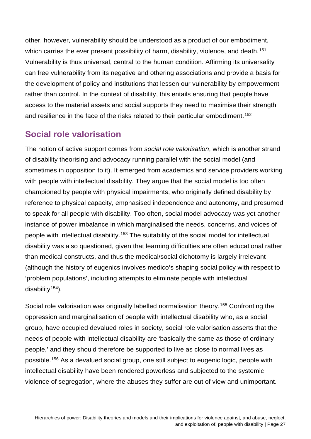other, however, vulnerability should be understood as a product of our embodiment, which carries the ever present possibility of harm, disability, violence, and death.<sup>[151](#page-42-2)</sup> Vulnerability is thus universal, central to the human condition. Affirming its universality can free vulnerability from its negative and othering associations and provide a basis for the development of policy and institutions that lessen our vulnerability by empowerment rather than control. In the context of disability, this entails ensuring that people have access to the material assets and social supports they need to maximise their strength and resilience in the face of the risks related to their particular embodiment.<sup>[152](#page-42-3)</sup>

#### <span id="page-26-0"></span>**Social role valorisation**

The notion of active support comes from *social role valorisation*, which is another strand of disability theorising and advocacy running parallel with the social model (and sometimes in opposition to it). It emerged from academics and service providers working with people with intellectual disability. They argue that the social model is too often championed by people with physical impairments, who originally defined disability by reference to physical capacity, emphasised independence and autonomy, and presumed to speak for all people with disability. Too often, social model advocacy was yet another instance of power imbalance in which marginalised the needs, concerns, and voices of people with intellectual disability.<sup>[153](#page-42-4)</sup> The suitability of the social model for intellectual disability was also questioned, given that learning difficulties are often educational rather than medical constructs, and thus the medical/social dichotomy is largely irrelevant (although the history of eugenics involves medico's shaping social policy with respect to 'problem populations', including attempts to eliminate people with intellectual disability $154$ ).

Social role valorisation was originally labelled normalisation theory.[155](#page-42-6) Confronting the oppression and marginalisation of people with intellectual disability who, as a social group, have occupied devalued roles in society, social role valorisation asserts that the needs of people with intellectual disability are 'basically the same as those of ordinary people,' and they should therefore be supported to live as close to normal lives as possible.[156](#page-42-7) As a devalued social group, one still subject to eugenic logic, people with intellectual disability have been rendered powerless and subjected to the systemic violence of segregation, where the abuses they suffer are out of view and unimportant.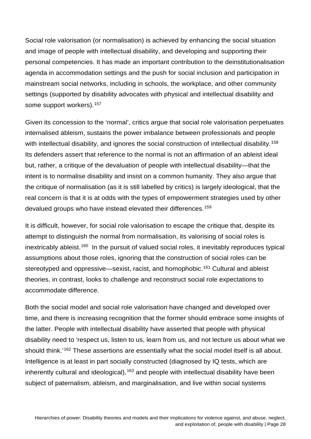Social role valorisation (or normalisation) is achieved by enhancing the social situation and image of people with intellectual disability, and developing and supporting their personal competencies. It has made an important contribution to the deinstitutionalisation agenda in accommodation settings and the push for social inclusion and participation in mainstream social networks, including in schools, the workplace, and other community settings (supported by disability advocates with physical and intellectual disability and some support workers).<sup>[157](#page-42-8)</sup>

Given its concession to the 'normal', critics argue that social role valorisation perpetuates internalised ableism, sustains the power imbalance between professionals and people with intellectual disability, and ignores the social construction of intellectual disability.<sup>[158](#page-42-9)</sup> Its defenders assert that reference to the normal is not an affirmation of an ableist ideal but, rather, a critique of the devaluation of people with intellectual disability—that the intent is to normalise disability and insist on a common humanity. They also argue that the critique of normalisation (as it is still labelled by critics) is largely ideological, that the real concern is that it is at odds with the types of empowerment strategies used by other devalued groups who have instead elevated their differences.<sup>[159](#page-42-10)</sup>

It is difficult, however, for social role valorisation to escape the critique that, despite its attempt to distinguish the normal from normalisation, its valorising of social roles is inextricably ableist.<sup>[160](#page-42-11)</sup> In the pursuit of valued social roles, it inevitably reproduces typical assumptions about those roles, ignoring that the construction of social roles can be stereotyped and oppressive—sexist, racist, and homophobic.<sup>[161](#page-42-12)</sup> Cultural and ableist theories, in contrast, looks to challenge and reconstruct social role expectations to accommodate difference.

Both the social model and social role valorisation have changed and developed over time, and there is increasing recognition that the former should embrace some insights of the latter. People with intellectual disability have asserted that people with physical disability need to 'respect us, listen to us, learn from us, and not lecture us about what we should think.<sup>'[162](#page-42-13)</sup> These assertions are essentially what the social model itself is all about. Intelligence is at least in part socially constructed (diagnosed by IQ tests, which are inherently cultural and ideological), $163$  and people with intellectual disability have been subject of paternalism, ableism, and marginalisation, and live within social systems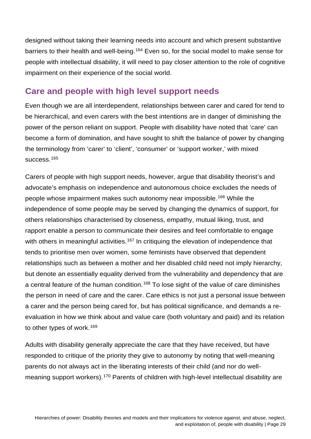designed without taking their learning needs into account and which present substantive barriers to their health and well-being.<sup>[164](#page-42-15)</sup> Even so, for the social model to make sense for people with intellectual disability, it will need to pay closer attention to the role of cognitive impairment on their experience of the social world.

#### <span id="page-28-0"></span>**Care and people with high level support needs**

Even though we are all interdependent, relationships between carer and cared for tend to be hierarchical, and even carers with the best intentions are in danger of diminishing the power of the person reliant on support. People with disability have noted that 'care' can become a form of domination, and have sought to shift the balance of power by changing the terminology from 'carer' to 'client', 'consumer' or 'support worker,' with mixed success.<sup>[165](#page-42-16)</sup>

Carers of people with high support needs, however, argue that disability theorist's and advocate's emphasis on independence and autonomous choice excludes the needs of people whose impairment makes such autonomy near impossible.[166](#page-42-17) While the independence of some people may be served by changing the dynamics of support, for others relationships characterised by closeness, empathy, mutual liking, trust, and rapport enable a person to communicate their desires and feel comfortable to engage with others in meaningful activities.<sup>[167](#page-42-18)</sup> In critiquing the elevation of independence that tends to prioritise men over women, some feminists have observed that dependent relationships such as between a mother and her disabled child need not imply hierarchy, but denote an essentially equality derived from the vulnerability and dependency that are a central feature of the human condition.<sup>[168](#page-43-0)</sup> To lose sight of the value of care diminishes the person in need of care and the carer. Care ethics is not just a personal issue between a carer and the person being cared for, but has political significance, and demands a reevaluation in how we think about and value care (both voluntary and paid) and its relation to other types of work.<sup>[169](#page-43-1)</sup>

Adults with disability generally appreciate the care that they have received, but have responded to critique of the priority they give to autonomy by noting that well-meaning parents do not always act in the liberating interests of their child (and nor do well-meaning support workers).<sup>[170](#page-43-2)</sup> Parents of children with high-level intellectual disability are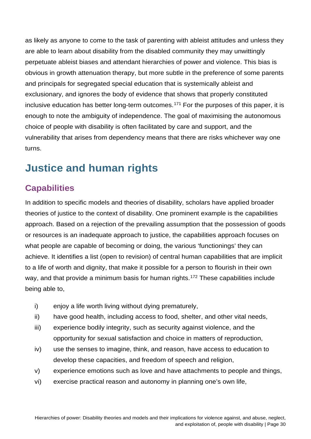as likely as anyone to come to the task of parenting with ableist attitudes and unless they are able to learn about disability from the disabled community they may unwittingly perpetuate ableist biases and attendant hierarchies of power and violence. This bias is obvious in growth attenuation therapy, but more subtle in the preference of some parents and principals for segregated special education that is systemically ableist and exclusionary, and ignores the body of evidence that shows that properly constituted inclusive education has better long-term outcomes.<sup>[171](#page-43-3)</sup> For the purposes of this paper, it is enough to note the ambiguity of independence. The goal of maximising the autonomous choice of people with disability is often facilitated by care and support, and the vulnerability that arises from dependency means that there are risks whichever way one turns.

## <span id="page-29-0"></span>**Justice and human rights**

#### <span id="page-29-1"></span>**Capabilities**

In addition to specific models and theories of disability, scholars have applied broader theories of justice to the context of disability. One prominent example is the capabilities approach. Based on a rejection of the prevailing assumption that the possession of goods or resources is an inadequate approach to justice, the capabilities approach focuses on what people are capable of becoming or doing, the various 'functionings' they can achieve. It identifies a list (open to revision) of central human capabilities that are implicit to a life of worth and dignity, that make it possible for a person to flourish in their own way, and that provide a minimum basis for human rights.<sup>[172](#page-43-4)</sup> These capabilities include being able to,

- i) enjoy a life worth living without dying prematurely,
- ii) have good health, including access to food, shelter, and other vital needs,
- iii) experience bodily integrity, such as security against violence, and the opportunity for sexual satisfaction and choice in matters of reproduction,
- iv) use the senses to imagine, think, and reason, have access to education to develop these capacities, and freedom of speech and religion,
- v) experience emotions such as love and have attachments to people and things,
- vi) exercise practical reason and autonomy in planning one's own life,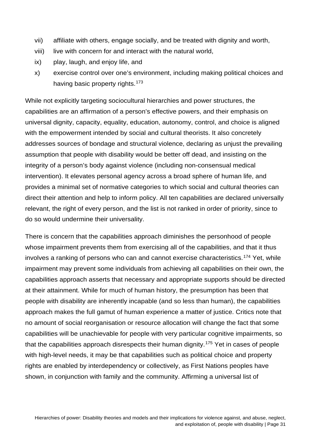- vii) affiliate with others, engage socially, and be treated with dignity and worth,
- viii) live with concern for and interact with the natural world,
- ix) play, laugh, and enjoy life, and
- x) exercise control over one's environment, including making political choices and having basic property rights.<sup>[173](#page-43-5)</sup>

While not explicitly targeting sociocultural hierarchies and power structures, the capabilities are an affirmation of a person's effective powers, and their emphasis on universal dignity, capacity, equality, education, autonomy, control, and choice is aligned with the empowerment intended by social and cultural theorists. It also concretely addresses sources of bondage and structural violence, declaring as unjust the prevailing assumption that people with disability would be better off dead, and insisting on the integrity of a person's body against violence (including non-consensual medical intervention). It elevates personal agency across a broad sphere of human life, and provides a minimal set of normative categories to which social and cultural theories can direct their attention and help to inform policy. All ten capabilities are declared universally relevant, the right of every person, and the list is not ranked in order of priority, since to do so would undermine their universality.

There is concern that the capabilities approach diminishes the personhood of people whose impairment prevents them from exercising all of the capabilities, and that it thus involves a ranking of persons who can and cannot exercise characteristics.<sup>[174](#page-43-6)</sup> Yet, while impairment may prevent some individuals from achieving all capabilities on their own, the capabilities approach asserts that necessary and appropriate supports should be directed at their attainment. While for much of human history, the presumption has been that people with disability are inherently incapable (and so less than human), the capabilities approach makes the full gamut of human experience a matter of justice. Critics note that no amount of social reorganisation or resource allocation will change the fact that some capabilities will be unachievable for people with very particular cognitive impairments, so that the capabilities approach disrespects their human dignity.[175](#page-43-7) Yet in cases of people with high-level needs, it may be that capabilities such as political choice and property rights are enabled by interdependency or collectively, as First Nations peoples have shown, in conjunction with family and the community. Affirming a universal list of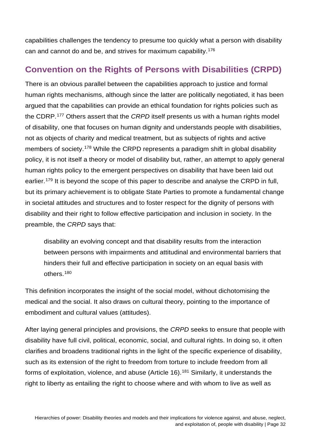capabilities challenges the tendency to presume too quickly what a person with disability can and cannot do and be, and strives for maximum capability.[176](#page-43-8)

#### <span id="page-31-0"></span>**Convention on the Rights of Persons with Disabilities (CRPD)**

There is an obvious parallel between the capabilities approach to justice and formal human rights mechanisms, although since the latter are politically negotiated, it has been argued that the capabilities can provide an ethical foundation for rights policies such as the CDRP.[177](#page-43-9) Others assert that the *CRPD* itself presents us with a human rights model of disability, one that focuses on human dignity and understands people with disabilities, not as objects of charity and medical treatment, but as subjects of rights and active members of society.<sup>[178](#page-43-10)</sup> While the CRPD represents a paradigm shift in global disability policy, it is not itself a theory or model of disability but, rather, an attempt to apply general human rights policy to the emergent perspectives on disability that have been laid out earlier.<sup>[179](#page-43-11)</sup> It is beyond the scope of this paper to describe and analyse the CRPD in full, but its primary achievement is to obligate State Parties to promote a fundamental change in societal attitudes and structures and to foster respect for the dignity of persons with disability and their right to follow effective participation and inclusion in society. In the preamble, the *CRPD* says that:

disability an evolving concept and that disability results from the interaction between persons with impairments and attitudinal and environmental barriers that hinders their full and effective participation in society on an equal basis with others.[180](#page-43-12)

This definition incorporates the insight of the social model, without dichotomising the medical and the social. It also draws on cultural theory, pointing to the importance of embodiment and cultural values (attitudes).

After laying general principles and provisions, the *CRPD* seeks to ensure that people with disability have full civil, political, economic, social, and cultural rights. In doing so, it often clarifies and broadens traditional rights in the light of the specific experience of disability, such as its extension of the right to freedom from torture to include freedom from all forms of exploitation, violence, and abuse (Article 16).<sup>[181](#page-43-13)</sup> Similarly, it understands the right to liberty as entailing the right to choose where and with whom to live as well as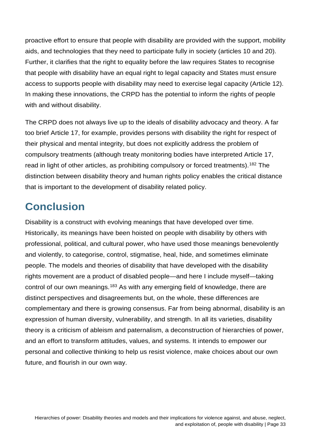proactive effort to ensure that people with disability are provided with the support, mobility aids, and technologies that they need to participate fully in society (articles 10 and 20). Further, it clarifies that the right to equality before the law requires States to recognise that people with disability have an equal right to legal capacity and States must ensure access to supports people with disability may need to exercise legal capacity (Article 12). In making these innovations, the CRPD has the potential to inform the rights of people with and without disability.

The CRPD does not always live up to the ideals of disability advocacy and theory. A far too brief Article 17, for example, provides persons with disability the right for respect of their physical and mental integrity, but does not explicitly address the problem of compulsory treatments (although treaty monitoring bodies have interpreted Article 17, read in light of other articles, as prohibiting compulsory or forced treatments).<sup>[182](#page-43-14)</sup> The distinction between disability theory and human rights policy enables the critical distance that is important to the development of disability related policy.

## <span id="page-32-0"></span>**Conclusion**

Disability is a construct with evolving meanings that have developed over time. Historically, its meanings have been hoisted on people with disability by others with professional, political, and cultural power, who have used those meanings benevolently and violently, to categorise, control, stigmatise, heal, hide, and sometimes eliminate people. The models and theories of disability that have developed with the disability rights movement are a product of disabled people—and here I include myself—taking control of our own meanings.<sup>[183](#page-43-15)</sup> As with any emerging field of knowledge, there are distinct perspectives and disagreements but, on the whole, these differences are complementary and there is growing consensus. Far from being abnormal, disability is an expression of human diversity, vulnerability, and strength. In all its varieties, disability theory is a criticism of ableism and paternalism, a deconstruction of hierarchies of power, and an effort to transform attitudes, values, and systems. It intends to empower our personal and collective thinking to help us resist violence, make choices about our own future, and flourish in our own way.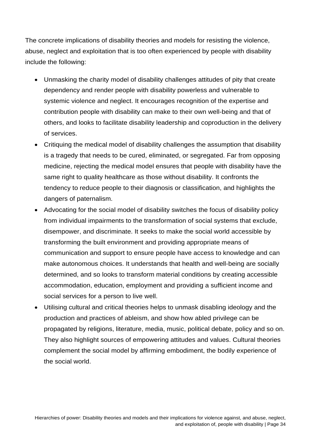The concrete implications of disability theories and models for resisting the violence, abuse, neglect and exploitation that is too often experienced by people with disability include the following:

- Unmasking the charity model of disability challenges attitudes of pity that create dependency and render people with disability powerless and vulnerable to systemic violence and neglect. It encourages recognition of the expertise and contribution people with disability can make to their own well-being and that of others, and looks to facilitate disability leadership and coproduction in the delivery of services.
- Critiquing the medical model of disability challenges the assumption that disability is a tragedy that needs to be cured, eliminated, or segregated. Far from opposing medicine, rejecting the medical model ensures that people with disability have the same right to quality healthcare as those without disability. It confronts the tendency to reduce people to their diagnosis or classification, and highlights the dangers of paternalism.
- Advocating for the social model of disability switches the focus of disability policy from individual impairments to the transformation of social systems that exclude, disempower, and discriminate. It seeks to make the social world accessible by transforming the built environment and providing appropriate means of communication and support to ensure people have access to knowledge and can make autonomous choices. It understands that health and well-being are socially determined, and so looks to transform material conditions by creating accessible accommodation, education, employment and providing a sufficient income and social services for a person to live well.
- Utilising cultural and critical theories helps to unmask disabling ideology and the production and practices of ableism, and show how abled privilege can be propagated by religions, literature, media, music, political debate, policy and so on. They also highlight sources of empowering attitudes and values. Cultural theories complement the social model by affirming embodiment, the bodily experience of the social world.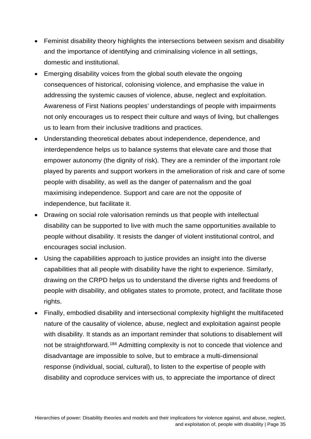- Feminist disability theory highlights the intersections between sexism and disability and the importance of identifying and criminalising violence in all settings, domestic and institutional.
- Emerging disability voices from the global south elevate the ongoing consequences of historical, colonising violence, and emphasise the value in addressing the systemic causes of violence, abuse, neglect and exploitation. Awareness of First Nations peoples' understandings of people with impairments not only encourages us to respect their culture and ways of living, but challenges us to learn from their inclusive traditions and practices.
- Understanding theoretical debates about independence, dependence, and interdependence helps us to balance systems that elevate care and those that empower autonomy (the dignity of risk). They are a reminder of the important role played by parents and support workers in the amelioration of risk and care of some people with disability, as well as the danger of paternalism and the goal maximising independence. Support and care are not the opposite of independence, but facilitate it.
- Drawing on social role valorisation reminds us that people with intellectual disability can be supported to live with much the same opportunities available to people without disability. It resists the danger of violent institutional control, and encourages social inclusion.
- Using the capabilities approach to justice provides an insight into the diverse capabilities that all people with disability have the right to experience. Similarly, drawing on the CRPD helps us to understand the diverse rights and freedoms of people with disability, and obligates states to promote, protect, and facilitate those rights.
- Finally, embodied disability and intersectional complexity highlight the multifaceted nature of the causality of violence, abuse, neglect and exploitation against people with disability. It stands as an important reminder that solutions to disablement will not be straightforward.<sup>[184](#page-43-16)</sup> Admitting complexity is not to concede that violence and disadvantage are impossible to solve, but to embrace a multi-dimensional response (individual, social, cultural), to listen to the expertise of people with disability and coproduce services with us, to appreciate the importance of direct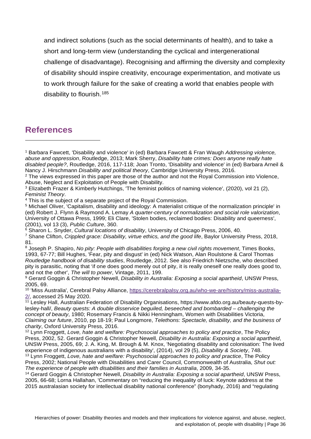and indirect solutions (such as the social determinants of health), and to take a short and long-term view (understanding the cyclical and intergenerational challenge of disadvantage). Recognising and affirming the diversity and complexity of disability should inspire creativity, encourage experimentation, and motivate us to work through failure for the sake of creating a world that enables people with disability to flourish.[185](#page-43-17)

#### **References**

 $\overline{a}$ 

<span id="page-35-5"></span><sup>6</sup> Sharon L. Snyder, *Cultural locations of disability*, University of Chicago Press, 2006, 40.

<span id="page-35-9"></span><sup>10</sup> 'Miss Australia', Cerebral Palsy Alliance, [https://cerebralpalsy.org.au/who-we-are/history/miss-australia-](https://cerebralpalsy.org.au/who-we-are/history/miss-australia-2/)[2/,](https://cerebralpalsy.org.au/who-we-are/history/miss-australia-2/) accessed 25 May 2020.

<span id="page-35-10"></span> $\frac{11}{11}$  Lesley Hall, Australian Federation of Disability Organisations, https://www.afdo.org.au/beauty-quests-bylesley-hall/, *Beauty quests: A double disservice beguiled, beseeched and bombarded – challenging the concept of beauty*, 1980; Rosemary Francis & Nikki Henningham, Women with Disabilities Victoria, *Claiming our future*, 2010, pp 18-19; Paul Longmore, *Telethons: Spectacle, disability, and the business of charity*, Oxford University Press, 2016.

<span id="page-35-12"></span><sup>13</sup> Lynn Froggett, *Love, hate and welfare: Psychosocial approaches to policy and practice*, The Policy Press, 2002; National People with Disabilities and Carer Council, Commonwealth of Australia, *Shut out: The experience of people with disabilities and their families in Australia*, 2009, 34-35.

<span id="page-35-13"></span><sup>14</sup> Gerard Goggin & Christopher Newell, *Disability in Australia: Exposing a social apartheid*, UNSW Press, 2005, 66-68; Lorna Hallahan, 'Commentary on "reducing the inequality of luck: Keynote address at the 2015 australasian society for intellectual disability national conference" (bonyhady, 2016) and "regulating

<span id="page-35-0"></span><sup>1</sup> Barbara Fawcett, 'Disability and violence' in (ed) Barbara Fawcett & Fran Waugh *Addressing violence, abuse and oppression*, Routledge, 2013; Mark Sherry, *Disability hate crimes: Does anyone really hate disabled people?*, Routledge, 2016, 117-118; Joan Tronto, 'Disability and violence' in (ed) Barbara Arneil & Nancy J. Hirschmann *Disability and political theory*, Cambridge University Press, 2016.

<span id="page-35-1"></span><sup>&</sup>lt;sup>2</sup> The views expressed in this paper are those of the author and not the Royal Commission into Violence, Abuse, Neglect and Exploitation of People with Disability.

<span id="page-35-2"></span><sup>3</sup> Elizabeth Frazer & Kimberly Hutchings, 'The feminist politics of naming violence', (2020), vol 21 (2), *Feminist Theory*.

<span id="page-35-3"></span><sup>4</sup> This is the subject of a separate project of the Royal Commission.

<span id="page-35-4"></span><sup>5</sup> Michael Oliver, 'Capitalism, disability and ideology: A materialist critique of the normalization principle' in (ed) Robert J. Flynn & Raymond A. Lemay *A quarter-century of normalization and social role valorization*, University of Ottawa Press, 1999; Eli Clare, 'Stolen bodies, reclaimed bodies: Disability and queerness', (2001), vol 13 (3), *Public Culture*, 360.

<span id="page-35-6"></span><sup>7</sup> Shane Clifton, *Crippled grace: Disability, virtue ethics, and the good life*, Baylor University Press, 2018, 81.

<span id="page-35-7"></span><sup>8</sup> Joseph P. Shapiro, *No pity: People with disabilities forging a new civil rights movement*, Times Books, 1993, 67-77; Bill Hughes, 'Fear, pity and disgust' in (ed) Nick Watson, Alan Roulstone & Carol Thomas *Routledge handbook of disability studies*, Routledge, 2012. See also Friedrich Nietzsche, who described pity is parasitic, noting that 'if one does good merely out of pity, it is really oneself one really does good to, and not the other', *The will to power*, Vintage, 2011, 199.

<span id="page-35-8"></span><sup>9</sup> Gerard Goggin & Christopher Newell, *Disability in Australia: Exposing a social apartheid*, UNSW Press, 2005, 69.

<span id="page-35-11"></span><sup>12</sup> Lynn Froggett, *Love, hate and welfare: Psychosocial approaches to policy and practice*, The Policy Press, 2002, 52. Gerard Goggin & Christopher Newell, *Disability in Australia: Exposing a social apartheid*, UNSW Press, 2005, 69; J. A. King, M. Brough & M. Knox, 'Negotiating disability and colonisation: The lived experience of indigenous australians with a disability', (2014), vol 29 (5), *Disability & Society*, 748.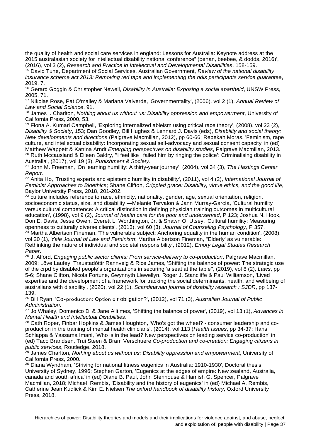the quality of health and social care services in england: Lessons for Australia: Keynote address at the 2015 australasian society for intellectual disability national conference" (behan, beebee, & dodds, 2016)', (2016), vol 3 (2), *Research and Practice in Intellectual and Developmental Disabilities*, 158-159.

 $\overline{a}$ 

<span id="page-36-0"></span><sup>15</sup> David Tune, Department of Social Services, Australian Government, *Review of the national disability insurance scheme act 2013: Removing red tape and implementing the ndis participants service guarantee*, 2019, 7.

<span id="page-36-1"></span><sup>16</sup> Gerard Goggin & Christopher Newell, *Disability in Australia: Exposing a social apartheid*, UNSW Press, 2005, 71.

<span id="page-36-2"></span><sup>17</sup> Nikolas Rose, Pat O'malley & Mariana Valverde, 'Governmentality', (2006), vol 2 (1), *Annual Review of Law and Social Science*, 91.

<span id="page-36-3"></span><sup>18</sup> James I. Charlton, *Nothing about us without us: Disability oppression and empowerment*, University of California Press, 2000, 53.

<span id="page-36-4"></span><sup>19</sup> Fiona A. Kumari Campbell, 'Exploring internalized ableism using critical race theory', (2008), vol 23 (2), *Disability & Society*, 153; Dan Goodley, Bill Hughes & Lennard J. Davis (eds), *Disability and social theory: New developments and directions* (Palgrave Macmillan, 2012), pp 60-66; Rebekah Moras, 'Feminism, rape culture, and intellectual disability: Incorporating sexual self-advocacy and sexual consent capacity' in (ed) Matthew Wappett & Katrina Arndt *Emerging perspectives on disability studies*, Palgrave Macmillan, 2013. <sup>20</sup> Ruth Mccausland & Eileen Baldry, "I feel like i failed him by ringing the police': Criminalising disability in Australia', (2017), vol 19 (3), *Punishment & Society*.

<span id="page-36-6"></span><span id="page-36-5"></span><sup>21</sup> John M. Freeman, 'On learning humility: A thirty-year journey', (2004), vol 34 (3), *The Hastings Center Report*.

<span id="page-36-7"></span><sup>22</sup> Anita Ho, 'Trusting experts and epistemic humility in disability', (2011), vol 4 (2), *International Journal of Feminist Approaches to Bioethics*; Shane Clifton, *Crippled grace: Disability, virtue ethics, and the good life*, Baylor University Press, 2018, 201-202.

<span id="page-36-8"></span><sup>23</sup> culture includes reference to race, ethnicity, nationality, gender, age, sexual orientation, religion, socioeconomic status, size, and disability —Melanie Tervalon & Jann Murray-García, 'Cultural humility versus cultural competence: A critical distinction in defining physician training outcomes in multicultural education', (1998), vol 9 (2), *Journal of health care for the poor and underserved*, P 123; Joshua N. Hook, Don E. Davis, Jesse Owen, Everett L. Worthington, Jr. & Shawn O. Utsey, 'Cultural humility: Measuring openness to culturally diverse clients', (2013), vol 60 (3), *Journal of Counseling Psychology*, P 357. <sup>24</sup> Martha Albertson Fineman, 'The vulnerable subject: Anchoring equality in the human condition', (2008), vol 20 (1), *Yale Journal of Law and Feminism*; Martha Albertson Fineman, ''Elderly' as vulnerable:

<span id="page-36-9"></span>Rethinking the nature of individual and societal responsibility', (2012), *Emory Legal Studies Research Paper*.

<span id="page-36-10"></span><sup>25</sup> J. Alford, *Engaging public sector clients: From service-delivery to co-production*, Palgrave Macmillan, 2009; Löve Laufey, Traustadóttir Rannveig & Rice James, 'Shifting the balance of power: The strategic use of the crpd by disabled people's organizations in securing 'a seat at the table'', (2019), vol 8 (2), *Laws*, pp 5-6; Shane Clifton, Nicola Fortune, Gwynnyth Llewellyn, Roger J. Stancliffe & Paul Williamson, 'Lived expertise and the development of a framework for tracking the social determinants, health, and wellbeing of australians with disability', (2020), vol 22 (1), *Scandinavian journal of disability research : SJDR*, pp 137- 139.

<span id="page-36-11"></span><sup>26</sup> Bill Ryan, 'Co‐production: Option o r obligation?', (2012), vol 71 (3), *Australian Journal of Public Administration*.

<span id="page-36-12"></span><sup>27</sup> Jo Whaley, Domenico Di & Jane Alltimes, 'Shifting the balance of power', (2019), vol 13 (1), *Advances in Mental Health and Intellectual Disabilities*.

<span id="page-36-13"></span><sup>28</sup> Cath Roper, Finbar Hopkins & James Houghton, 'Who's got the wheel? - consumer leadership and coproduction in the training of mental health clinicians', (2014), vol 113 (*Health Issues*, pp 34-37; Hans Schlappa & Yassama Imani, 'Who is in the lead? New perspectives on leading service co-production' in (ed) Taco Brandsen, Trui Steen & Bram Verschuere *Co-production and co-creation: Engaging citizens in public services*, Routledge, 2018.

<span id="page-36-14"></span><sup>29</sup> James Charlton, *Nothing about us without us: Disability oppression and empowerment*, University of California Press, 2000.

<span id="page-36-15"></span><sup>30</sup> Diana Wyndham, 'Striving for national fitness eugenics in Australia: 1910-1930', Doctoral thesis, University of Sydney, 1996; Stephen Garton, 'Eugenics at the edges of empire: New zealand, Australia, canada and south africa' in (ed) Diane B. Paul, John Stenhouse & Hamish G. Spencer, Palgrave Macmillan, 2018; Michael Rembis, 'Disability and the history of eugenics' in (ed) Michael A. Rembis, Catherine Jean Kudlick & Kim E. Nielsen *The oxford handbook of disability history*, Oxford University Press, 2018.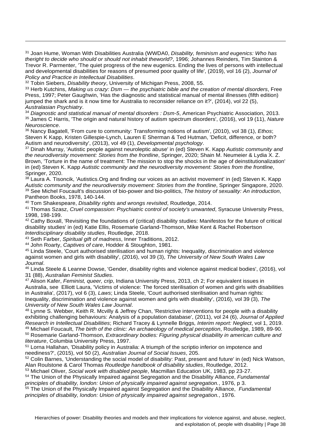<span id="page-37-0"></span><sup>31</sup> Joan Hume, Woman With Disabilities Australia (WWDA0, *Disability, feminism and eugenics: Who has theright to decide who should or should not inhabit theworld?*, 1996; Johannes Reinders, Tim Stainton & Trevor R. Parmenter, 'The quiet progress of the new eugenics. Ending the lives of persons with intellectual and developmental disabilities for reasons of presumed poor quality of life', (2019), vol 16 (2), *Journal of Policy and Practice in Intellectual Disabilities*.

<span id="page-37-1"></span><sup>32</sup> Tobin Siebers, *Disability theory*, University of Michigan Press, 2008, 55.

 $\overline{a}$ 

<span id="page-37-2"></span><sup>33</sup> Herb Kutchins, *Making us crazy: Dsm — the psychiatric bible and the creation of mental disorders*, Free Press, 1997; Peter Gaughwin, 'Has the diagnostic and statistical manual of mental illnesses (fifth edition) jumped the shark and is it now time for Australia to reconsider reliance on it?', (2014), vol 22 (5), *Australasian Psychiatry*.

<span id="page-37-3"></span><sup>34</sup> *Diagnostic and statistical manual of mental disorders : Dsm-5*, American Psychiatric Association, 2013.

<span id="page-37-4"></span><sup>35</sup> James C Harris, 'The origin and natural history of autism spectrum disorders', (2016), vol 19 (11), *Nature Neuroscience*.

<span id="page-37-5"></span><sup>36</sup> Nancy Bagatell, 'From cure to community: Transforming notions of autism', (2010), vol 38 (1), *Ethos*; Steven K Kapp, Kristen Gillespie-Lynch, Lauren E Sherman & Ted Hutman, 'Deficit, difference, or both? Autism and neurodiversity', (2013), vol 49 (1), *Developmental psychology*.

<span id="page-37-6"></span><sup>37</sup> Dinah Murray, 'Autistic people against neuroleptic abuse' in (ed) Steven K. Kapp *Autistic community and the neurodiversity movement: Stories from the frontline*, Springer, 2020; Shain M. Neumeier & Lydia X. Z. Brown, 'Torture in the name of treatment: The mission to stop the shocks in the age of deinstitutionalization' in (ed) Steven K. Kapp *Autistic community and the neurodiversity movement: Stories from the frontline*, Springer, 2020.

<span id="page-37-7"></span>38 Laura A. Tisoncik, 'Autistics. Org and finding our voices as an activist movement' in (ed) Steven K. Kapp *Autistic community and the neurodiversity movement: Stories from the frontline*, Springer Singapore, 2020. <sup>39</sup> See Michel Foucault's discussion of bio-power and bio-politics, *The history of sexuality: An introduction*, Pantheon Books, 1978, 140-144.

<span id="page-37-9"></span><span id="page-37-8"></span><sup>40</sup> Tom Shakespeare, *Disability rights and wrongs revisited*, Routledge, 2014.

<span id="page-37-10"></span><sup>41</sup> Thomas Szasz, *Cruel compassion: Psychiatric control of society's unwanted*, Syracuse University Press, 1998, 198-199.

<span id="page-37-11"></span><sup>42</sup> Cathy Boxall, 'Revisiting the foundations of (critical) disability studies: Manifestos for the future of critical disability studies' in (ed) Katie Ellis, Rosemarie Garland-Thomson, Mike Kent & Rachel Robertson *Interdisciplinary disability studies*, Routledge, 2018.

<span id="page-37-12"></span><sup>43</sup> Seth Farber, *Spiritual gift of madness*, Inner Traditions, 2012.

<span id="page-37-13"></span><sup>44</sup> John Roarty, *Captives of care*, Hodder & Stoughton, 1981.

<span id="page-37-14"></span><sup>45</sup> Linda Steele, 'Court authorised sterilisation and human rights: Inequality, discrimination and violence against women and girls with disability', (2016), vol 39 (3), *The University of New South Wales Law Journal*.

<span id="page-37-15"></span><sup>46</sup> Linda Steele & Leanne Dowse, 'Gender, disability rights and violence against medical bodies', (2016), vol 31 (88), *Australian Feminist Studies*.

<span id="page-37-16"></span><sup>47</sup> Alison Kafer, *Feminist, queer, crip*, Indiana University Press, 2013, ch 2; For equivalent issues in Australia, see Elliott Laura, 'Victims of violence: The forced sterilisation of women and girls with disabilities in Australia', (2017), vol 6 (3), *Laws*; Linda Steele, 'Court authorised sterilisation and human rights: Inequality, discrimination and violence against women and girls with disability', (2016), vol 39 (3), *The University of New South Wales Law Journal*.

<span id="page-37-17"></span><sup>48</sup> Lynne S. Webber, Keith R. Mcvilly & Jeffrey Chan, 'Restrictive interventions for people with a disability exhibiting challenging behaviours: Analysis of a population database', (2011), vol 24 (6), *Journal of Applied Research in Intellectual Disabilities*; Richard Tracey & Lynnelle Briggs*, Interim report: Neglect*, vol 1, 2019. <sup>49</sup> Michael Foucault, *The birth of the clinic: An archaeology of medical perception*, Routledge, 1989, 89-90.

<span id="page-37-19"></span><span id="page-37-18"></span><sup>50</sup> Rosemarie Garland-Thomson, *Extraordinary bodies: Figuring physical disability in american culture and literature*, Columbia University Press, 1997.

<span id="page-37-20"></span><sup>51</sup> Lorna Hallahan, 'Disability policy in Australia: A triumph of the scriptio inferior on impotence and neediness?', (2015), vol 50 (2), *Australian Journal of Social Issues*, 205.

<span id="page-37-21"></span><sup>52</sup> Colin Barnes, 'Understanding the social model of disability: Past, present and future' in (ed) Nick Watson, Alan Roulstone & Carol Thomas *Routledge handbook of disability studies*, Routledge, 2012.

<span id="page-37-22"></span><sup>53</sup> Michael Oliver, *Social work with disabled people*, Macmillan Education UK, 1983, pp 23-27.

<span id="page-37-23"></span><sup>54</sup> The Union of the Physically Impaired against Segregation and the Disability Alliance, *Fundamental principles of disability, london: Union of physically impaired against segregation.*, 1976, p 3.

<span id="page-37-24"></span><sup>55</sup> The Union of the Physically Impaired against Segregation and the Disability Alliance, *Fundamental principles of disability, london: Union of physically impaired against segregation.*, 1976.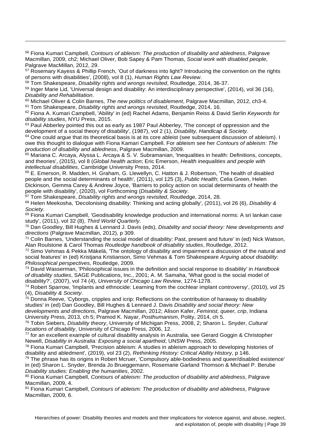<span id="page-38-0"></span><sup>56</sup> Fiona Kumari Campbell, *Contours of ableism: The production of disability and abledness*, Palgrave Macmillan, 2009, ch2; Michael Oliver, Bob Sapey & Pam Thomas, *Social work with disabled people*, Palgrave MacMillan, 2012, 29.

<span id="page-38-1"></span><sup>57</sup> Rosemary Kayess & Phillip French, 'Out of darkness into light? Introducing the convention on the rights of persons with disabilities', (2008), vol 8 (1), *Human Rights Law Review*.

<span id="page-38-2"></span><sup>58</sup> Tom Shakespeare, *Disability rights and wrongs revisited*, Routledge, 2014, 36-37.

 $\overline{a}$ 

<span id="page-38-3"></span><sup>59</sup> Inger Marie Lid, 'Universal design and disability: An interdisciplinary perspective', (2014), vol 36 (16), *Disability and Rehabilitation*.

<span id="page-38-4"></span><sup>60</sup> Michael Oliver & Colin Barnes, *The new politics of disablement*, Palgrave Macmillan, 2012, ch3-4.

<span id="page-38-5"></span><sup>61</sup> Tom Shakespeare, *Disability rights and wrongs revisited*, Routledge, 2014, 16.

<span id="page-38-6"></span><sup>62</sup> Fiona A. Kumari Campbell, 'Ability' in (ed) Rachel Adams, Benjamin Reiss & David Serlin *Keywords for disability studies*, NYU Press, 2015.

<span id="page-38-7"></span> $63$  Paul Abberley pointed this out as early as 1987 Paul Abberley, 'The concept of oppression and the development of a social theory of disability', (1987), vol 2 (1), *Disability, Handicap & Society*.

<span id="page-38-8"></span><sup>64</sup> One could argue that its theoretical basis is at its core ableist (see subsequent discussion of ableism). I owe this thought to dialogue with Fiona Kamari Campbell. For ableism see her *Contours of ableism: The production of disability and abledness*, Palgrave Macmillan, 2009.

<span id="page-38-9"></span><sup>65</sup> Mariana C. Arcaya, Alyssa L. Arcaya & S. V. Subramanian, 'Inequalities in health: Definitions, concepts, and theories', (2015), vol 8 (*Global health action*; Eric Emerson, *Health inequalities and people with intellectual disabilities*, Cambridge University Press, 2014.

<span id="page-38-10"></span><sup>66</sup> E. Emerson, R. Madden, H. Graham, G. Llewellyn, C. Hatton & J. Robertson, 'The health of disabled people and the social determinants of health', (2011), vol 125 (3), *Public Health*; Celia Green, Helen Dickinson, Gemma Carey & Andrew Joyce, 'Barriers to policy action on social determinants of health the people with disability', (2020), vol Forthcoming (*Disability & Society*.

<span id="page-38-11"></span><sup>67</sup> Tom Shakespeare, *Disability rights and wrongs revisited*, Routledge, 2014, 28.

<span id="page-38-12"></span><sup>68</sup> Helen Meekosha, 'Decolonising disability: Thinking and acting globally', (2011), vol 26 (6), *Disability & Society*.

<span id="page-38-13"></span><sup>69</sup> Fiona Kumari Campbell, 'Geodisability knowledge production and international norms: A sri lankan case study', (2011), vol 32 (8), *Third World Quarterly*.

<span id="page-38-14"></span><sup>70</sup> Dan Goodley, Bill Hughes & Lennard J. Davis (eds), *Disability and social theory: New developments and directions* (Palgrave Macmillan, 2012), p 309.

<span id="page-38-15"></span><sup>71</sup> Colin Barnes, 'Understanding the social model of disability: Past, present and future' in (ed) Nick Watson, Alan Roulstone & Carol Thomas *Routledge handbook of disability studies*, Routledge, 2012.

<span id="page-38-16"></span><sup>72</sup> Simo Vehmas & Pekka Mäkelä, 'The ontology of disability and impairment a discussion of the natural and social features' in (ed) Kristjana Kristianson, Simo Vehmas & Tom Shakespeare *Arguing about disability: Philosophical perspectives*, Routledge, 2009.

<span id="page-38-17"></span><sup>73</sup> David Wasserman, 'Philosophical issues in the definition and social response to disability' in *Handbook of disability studies*, SAGE Publications, Inc., 2001; A. M. Samaha, 'What good is the social model of disability?', (2007), vol 74 (4), *University of Chicago Law Review*, 1274-1278.

<span id="page-38-18"></span><sup>74</sup> Robert Sparrow, 'Implants and ethnocide: Learning from the cochlear implant controversy', (2010), vol 25 (4), *Disability & Society*.

<span id="page-38-19"></span> $75$  Donna Reeve, 'Cyborgs, cripples and icrip: Reflections on the contribution of haraway to disability studies' in (ed) Dan Goodley, Bill Hughes & Lennard J. Davis *Disability and social theory: New developments and directions*, Palgrave Macmillan, 2012; Alison Kafer, *Feminist, queer, crip*, Indiana University Press, 2013, ch 5; Pramod K. Nayar, *Posthumanism*, Polity, 2014, ch 5.

<span id="page-38-20"></span><sup>76</sup> Tobin Siebers, *Disability theory*, University of Michigan Press, 2008, 2; Sharon L. Snyder, *Cultural locations of disability*, University of Chicago Press, 2006, 12.

<span id="page-38-21"></span><sup>77</sup> for an excellent example of cultural disability analysis in Australia, see Gerard Goggin & Christopher Newell, *Disability in Australia: Exposing a social apartheid*, UNSW Press, 2005.

<span id="page-38-22"></span><sup>78</sup> Fiona Kumari Campbell, 'Precision ableism: A studies in ableism approach to developing histories of disability and abledment', (2019), vol 23 (2), *Rethinking History: Critical Ability History*, p 146.

<span id="page-38-23"></span><sup>79</sup> The phrase has its origins in Robert Mcruer, 'Compulsory able-bodiedness and queer/disabled existence' in (ed) Sharon L. Snyder, Brenda Jo Brueggemann, Rosemarie Garland Thomson & Michael P. Berube *Disability studies: Enabling the humanities*, 2002.

<span id="page-38-24"></span><sup>80</sup> Fiona Kumari Campbell, *Contours of ableism: The production of disability and abledness*, Palgrave Macmillan, 2009, 4.

<span id="page-38-25"></span><sup>81</sup> Fiona Kumari Campbell, *Contours of ableism: The production of disability and abledness*, Palgrave Macmillan, 2009, 6.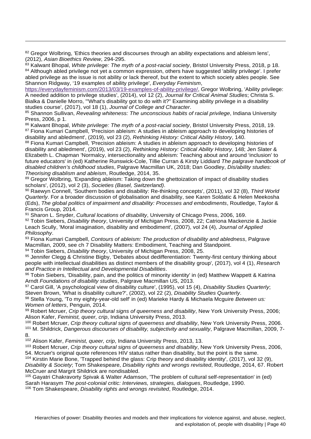<span id="page-39-0"></span>82 Gregor Wolbring, 'Ethics theories and discourses through an ability expectations and ableism lens', (2012), *Asian Bioethics Review*, 294-295.

 $\overline{a}$ 

<span id="page-39-2"></span><span id="page-39-1"></span><sup>83</sup> Kalwant Bhopal, *White privilege: The myth of a post-racial society*, Bristol University Press, 2018, p 18. 84 Although abled privilege not yet a common expression, others have suggested 'ability privilege'. I prefer abled privilege as the issue is not ability or lack thereof, but the extent to which society ables people. See Shannon Ridgway, '19 examples of ability privilege', *Everyday Feminism*,

[https://everydayfeminism.com/2013/03/19-examples-of-ability-privilege/,](https://everydayfeminism.com/2013/03/19-examples-of-ability-privilege/) Gregor Wolbring, 'Ability privilege: A needed addition to privilege studies', (2014), vol 12 (2), *Journal for Critical Animal Studies*; Christa S. Bialka & Danielle Morro, '"What's disability got to do with it?" Examining ability privilege in a disability studies course', (2017), vol 18 (1), *Journal of College and Character*.

<span id="page-39-3"></span><sup>85</sup> Shannon Sullivan, *Revealing whiteness: The unconscious habits of racial privilege*, Indiana University Press, 2006, p 1.

<span id="page-39-5"></span><span id="page-39-4"></span><sup>86</sup> Kalwant Bhopal, *White privilege: The myth of a post-racial society*, Bristol University Press, 2018, 19. <sup>87</sup> Fiona Kumari Campbell, 'Precision ableism: A studies in ableism approach to developing histories of disability and abledment', (2019), vol 23 (2), *Rethinking History: Critical Ability History*, 140.

<span id="page-39-6"></span>88 Fiona Kumari Campbell, 'Precision ableism: A studies in ableism approach to developing histories of disability and abledment', (2019), vol 23 (2), *Rethinking History: Critical Ability History*, 148; Jen Slater & Elizabeth L. Chapman 'Normalcy, intersectionality and ableism: Teaching about and around 'inclusion' to future educators' in (ed) Katherine Runswick-Cole, Tillie Curran & Kirsty Liddiard *The palgrave handbook of disabled children's childhood studies*, Palgrave Macmillan UK, 2018; Dan Goodley, *Dis/ability studies: Theorising disablism and ableism*, Routledge, 2014, 35.

<span id="page-39-7"></span>89 Gregor Wolbring, 'Expanding ableism: Taking down the ghettoization of impact of disability studies scholars', (2012), vol 2 (3), *Societies (Basel, Switzerland)*.

<span id="page-39-8"></span><sup>90</sup> Raewyn Connell, 'Southern bodies and disability: Re-thinking concepts', (2011), vol 32 (8), *Third World Quarterly*. For a broader discussion of globalisation and disability, see Karen Soldatic & Helen Meekosha (Eds), *The global politics of impairment and disability: Processes and embodiments*, Routledge, Taylor & Francis Group, 2014.

<span id="page-39-9"></span><sup>91</sup> Sharon L. Snyder, *Cultural locations of disability*, University of Chicago Press, 2006, 169.

<span id="page-39-10"></span><sup>92</sup> Tobin Siebers, *Disability theory*, University of Michigan Press, 2008, 22; Catriona Mackenzie & Jackie Leach Scully, 'Moral imagination, disability and embodiment', (2007), vol 24 (4), *Journal of Applied Philosophy*.

<span id="page-39-11"></span><sup>93</sup> Fiona Kumari Campbell, *Contours of ableism: The production of disability and abledness*, Palgrave Macmillan, 2009, see ch 7 Disability Matters: Embodiment, Teaching and Standpoint.

<span id="page-39-12"></span><sup>94</sup> Tobin Siebers, *Disability theory*, University of Michigan Press, 2008, 25.

<span id="page-39-13"></span>95 Jennifer Clegg & Christine Bigby, 'Debates about dedifferentiation: Twenty-first century thinking about people with intellectual disabilities as distinct members of the disability group', (2017), vol 4 (1), *Research and Practice in Intellectual and Developmental Disabilities*.

<span id="page-39-14"></span>96 Tobin Siebers, 'Disability, pain, and the politics of minority identity' in (ed) Matthew Wappett & Katrina Arndt *Foundations of disability studies*, Palgrave Macmillan US, 2013.

<span id="page-39-15"></span><sup>97</sup> Carol Gill, 'A psychological view of disability culture', (1995), vol 15 (4), *Disability Studies Quarterly*; Steven Brown, 'What is disability culture?', (2002), vol 22 (2), *Disability Studies Quarterly*.

<span id="page-39-16"></span><sup>98</sup> Stella Young, 'To my eighty-year-old self' in (ed) Marieke Hardy & Michaela Mcguire *Between us: Women of letters*, Penguin, 2014.

<span id="page-39-17"></span><sup>99</sup> Robert Mcruer, *Crip theory cultural signs of queerness and disability*, New York University Press, 2006; Alison Kafer, *Feminist, queer, crip*, Indiana University Press, 2013.

<span id="page-39-18"></span><sup>100</sup> Robert Mcruer, *Crip theory cultural signs of queerness and disability*, New York University Press, 2006.

<span id="page-39-19"></span><sup>101</sup> M. Shildrick, *Dangerous discourses of disability, subjectivity and sexuality*, Palgrave Macmillan, 2009, 7- 8.

<span id="page-39-20"></span><sup>102</sup> Alison Kafer, *Feminist, queer, crip*, Indiana University Press, 2013, 13.

<span id="page-39-21"></span><sup>103</sup> Robert Mcruer, *Crip theory cultural signs of queerness and disability*, New York University Press, 2006, 54. Mcruer's original quote references HIV status rather than disability, but the point is the same.

<span id="page-39-22"></span><sup>104</sup> Kirstin Marie Bone, 'Trapped behind the glass: Crip theory and disability identity', (2017), vol 32 (9), *Disability & Society*; Tom Shakespeare, *Disability rights and wrongs revisited*, Routledge, 2014, 67. Robert McCruer and Margrit Shildrick are nondisabled.

<span id="page-39-23"></span><sup>105</sup> Gayatri Chakravorty Spivak & Walter Adamson, 'The problem of cultural self-representation' in (ed) Sarah Harasym *The post-colonial critic: Interviews, strategies, dialogues*, Routledge, 1990.

<span id="page-39-24"></span><sup>106</sup> Tom Shakespeare, *Disability rights and wrongs revisited*, Routledge, 2014.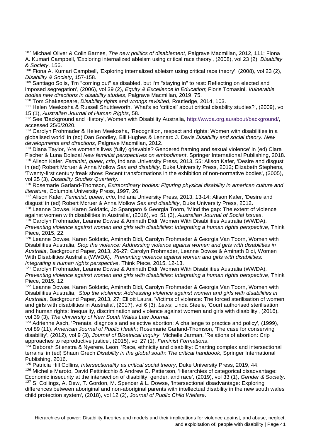<span id="page-40-0"></span><sup>107</sup> Michael Oliver & Colin Barnes, *The new politics of disablement*, Palgrave Macmillan, 2012, 111; Fiona A. Kumari Campbell, 'Exploring internalized ableism using critical race theory', (2008), vol 23 (2), *Disability & Society*, 156.

<span id="page-40-1"></span><sup>108</sup> Fiona A. Kumari Campbell, 'Exploring internalized ableism using critical race theory', (2008), vol 23 (2), *Disability & Society*, 157-158.

<span id="page-40-2"></span><sup>109</sup> Santiago Solis, 'I'm "coming out" as disabled, but i'm "staying in" to rest: Reflecting on elected and imposed segregation', (2006), vol 39 (2), *Equity & Excellence in Education*; Floris Tomasini, *Vulnerable bodies new directions in disability studies*, Palgrave Macmillan, 2019, 75.

<span id="page-40-3"></span><sup>110</sup> Tom Shakespeare, *Disability rights and wrongs revisited*, Routledge, 2014, 103.

 $\overline{a}$ 

<span id="page-40-4"></span><sup>111</sup> Helen Meekosha & Russell Shuttleworth, 'What's so 'critical' about critical disability studies?', (2009), vol 15 (1), *Australian Journal of Human Rights*, 58.

<span id="page-40-5"></span><sup>112</sup> See 'Background and History', Women with Disability Australia, [http://wwda.org.au/about/background/,](http://wwda.org.au/about/background/) accessed 25/6/2020.

<span id="page-40-6"></span><sup>113</sup> Carolyn Frohmader & Helen Meekosha, 'Recognition, respect and rights: Women with disabilities in a globalised world' in (ed) Dan Goodley, Bill Hughes & Lennard J. Davis *Disability and social theory: New developments and directions*, Palgrave Macmillan, 2012.

<span id="page-40-8"></span><span id="page-40-7"></span><sup>114</sup> Diana Taylor, 'Are women's lives (fully) grievable? Gendered framing and sexual violence' in (ed) Clara Fischer & Luna Dolezal *New feminist perspectives on embodiment*, Springer International Publishing, 2018. <sup>115</sup> Alison Kafer, *Feminist, queer, crip*, Indiana University Press, 2013, 55; Alison Kafer, 'Desire and disgust' in (ed) Robert Mcruer & Anna Mollow *Sex and disability*, Duke University Press, 2012; Elizabeth Stephens, 'Twenty-first century freak show: Recent transformations in the exhibition of non-normative bodies', (2005), vol 25 (3), *Disability Studies Quarterly*.

<span id="page-40-9"></span><sup>116</sup> Rosemarie Garland-Thomson, *Extraordinary bodies: Figuring physical disability in american culture and literature*, Columbia University Press, 1997, 26.

<span id="page-40-10"></span><sup>117</sup> Alison Kafer, *Feminist, queer, crip*, Indiana University Press, 2013, 13-14; Alison Kafer, 'Desire and disgust' in (ed) Robert Mcruer & Anna Mollow *Sex and disability*, Duke University Press, 2012.

<span id="page-40-11"></span><sup>118</sup> Leanne Dowse, Karen Soldatic, Jo Spangaro & Georgia Toorn, 'Mind the gap: The extent of violence against women with disabilities in Australia', (2016), vol 51 (3), *Australian Journal of Social Issues*. <sup>119</sup> Carolyn Frohmader, Leanne Dowse & Aminath Didi, Women With Disabilities Australia (WWDA),

<span id="page-40-12"></span>*Preventing violence against women and girls with disabilities: Integrating a human rights perspective*, Think Piece, 2015, 22.

<span id="page-40-13"></span><sup>120</sup> Leanne Dowse, Karen Soldatic, Aminath Didi, Carolyn Frohmader & Georgia Van Toorn, Women with Disabilities Australia, *Stop the violence: Addressing violence against women and girls with disabilities in Australia*, Background Paper, 2013, 26-27; Carolyn Frohmader, Leanne Dowse & Aminath Didi, Women With Disabilities Australia (WWDA), *Preventing violence against women and girls with disabilities: Integrating a human rights perspective*, Think Piece, 2015, 12-13.

<span id="page-40-14"></span><sup>121</sup> Carolyn Frohmader, Leanne Dowse & Aminath Didi, Women With Disabilities Australia (WWDA), *Preventing violence against women and girls with disabilities: Integrating a human rights perspective*, Think Piece, 2015, 12.

<span id="page-40-15"></span><sup>122</sup> Leanne Dowse, Karen Soldatic, Aminath Didi, Carolyn Frohmader & Georgia Van Toorn, Women with Disabilities Australia, *Stop the violence: Addressing violence against women and girls with disabilities in Australia*, Background Paper, 2013, 27; Elliott Laura, 'Victims of violence: The forced sterilisation of women and girls with disabilities in Australia', (2017), vol 6 (3), *Laws*; Linda Steele, 'Court authorised sterilisation and human rights: Inequality, discrimination and violence against women and girls with disability', (2016), vol 39 (3), *The University of New South Wales Law Journal*.

<span id="page-40-16"></span><sup>123</sup> Adrienne Asch, 'Prenatal diagnosis and selective abortion: A challenge to practice and policy', (1999), vol 89 (11), *American Journal of Public Health*; Rosemarie Garland-Thomson, 'The case for conserving disability', (2012), vol 9 (3), *Journal of Bioethical Inquiry*; Michelle Jarman, 'Relations of abortion: Crip approaches to reproductive justice', (2015), vol 27 (1), *Feminist Formations*.

<span id="page-40-17"></span><sup>124</sup> Deborah Stienstra & Nyerere. Leon, 'Race, ethnicity and disability: Charting complex and intersectional terrains' in (ed) Shaun Grech *Disability in the global south: The critical handbook*, Springer International Publishing, 2016.

<span id="page-40-18"></span><sup>125</sup> Patricia Hill Collins, *Intersectionality as critical social theory*, Duke University Press, 2019, 44. <sup>126</sup> Michelle Maroto, David Pettinicchio & Andrew C. Patterson, 'Hierarchies of categorical disadvantage:

<span id="page-40-20"></span><span id="page-40-19"></span>Economic insecurity at the intersection of disability, gender, and race', (2019), vol 33 (1), *Gender & Society*. <sup>127</sup> S. Collings, A. Dew, T. Gordon, M. Spencer & L. Dowse, 'Intersectional disadvantage: Exploring differences between aboriginal and non-aboriginal parents with intellectual disability in the new south wales child protection system', (2018), vol 12 (2), *Journal of Public Child Welfare*.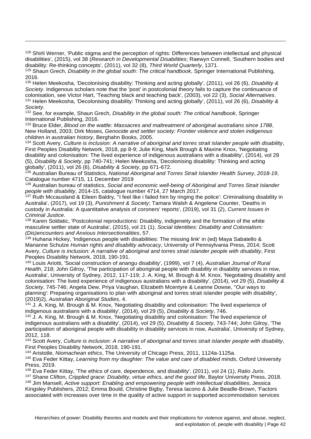<span id="page-41-0"></span><sup>128</sup> Shirli Werner, 'Public stigma and the perception of rights: Differences between intellectual and physical disabilities', (2015), vol 38 (*Research in Developmental Disabilities*; Raewyn Connell, 'Southern bodies and disability: Re-thinking concepts', (2011), vol 32 (8), *Third World Quarterly*, 1371.

<span id="page-41-1"></span><sup>129</sup> Shaun Grech, *Disability in the global south: The critical handbook*, Springer International Publishing, 2016.

 $\overline{a}$ 

<span id="page-41-2"></span><sup>130</sup> Helen Meekosha, 'Decolonising disability: Thinking and acting globally', (2011), vol 26 (6), *Disability & Society*. Indigenous scholars note that the 'post' in postcolonial theory fails to capture the continuance of colonisation, see Victor Hart, 'Teaching black and teaching back', (2003), vol 22 (3), *Social Alternatives*. <sup>131</sup> Helen Meekosha, 'Decolonising disability: Thinking and acting globally', (2011), vol 26 (6), *Disability & Society*.

<span id="page-41-4"></span><span id="page-41-3"></span><sup>132</sup> See, for example, Shaun Grech, *Disability in the global south: The critical handbook*, Springer International Publishing, 2016.

<span id="page-41-5"></span><sup>133</sup> Bruce Elder, *Blood on the wattle: Massacres and maltreatment of aboriginal australians since 1788*, New Holland, 2003; Dirk Moses, *Genocide and settler society: Frontier violence and stolen indigenous children in australian history*, Berghahn Books, 2005.

<span id="page-41-6"></span><sup>134</sup> Scott Avery, *Culture is inclusion: A narrative of aboriginal and torres strait islander people with disability*, First Peoples Disability Network, 2018, pp 8-9; Julie King, Mark Brough & Maxine Knox, 'Negotiating disability and colonisation: The lived experience of indigenous australians with a disability', (2014), vol 29 (5), *Disability & Society*, pp 740-741; Helen Meekosha, 'Decolonising disability: Thinking and acting globally', (2011), vol 26 (6), *Disability & Society*, pp 671-672.

<span id="page-41-7"></span><sup>135</sup> Australian Bureau of Statistics, *National Aboriginal and Torres Strait Islander Health Survey*, *2018-19*, Catalogue number 4715, 11 December 2019

<span id="page-41-8"></span><sup>136</sup> Australian bureau of statistics, *Social and economic well-being of Aboriginal and Torres Strait Islander people with disability*, 2014-15, catalogue number 4714, 27 March 2017.

<span id="page-41-9"></span><sup>137</sup> Ruth Mccausland & Eileen Baldry, "I feel like i failed him by ringing the police': Criminalising disability in Australia', (2017), vol 19 (3), *Punishment & Society*; Tamara Walsh & Angelene Counter, 'Deaths in custody in Australia: A quantitative analysis of coroners' reports', (2019), vol 31 (2), *Current Issues in Criminal Justice*.

<span id="page-41-10"></span><sup>138</sup> Karen Soldatic, 'Postcolonial reproductions: Disability, indigeneity and the formation of the white masculine settler state of Australia', (2015), vol 21 (1), *Social Identities: Disability and Colonialism: (Dis)encounters and Anxious Intersectionalities*, 57.

<span id="page-41-11"></span><sup>139</sup> Huhana Hickey, 'Indigenous people with disabilities: The missing link' in (ed) Maya Sabatello & Marianne Schulze *Human rights and disability advocacy*, University of Pennsylvania Press, 2014; Scott Avery, *Culture is inclusion: A narrative of aboriginal and torres strait islander people with disability*, First Peoples Disability Network, 2018, 190-191.

<span id="page-41-12"></span><sup>140</sup> Louis Ariotti, 'Social construction of anangu disability', (1999), vol 7 (4), *Australian Journal of Rural Health*, 218; John Gilroy, 'The participation of aboriginal people with disability in disability services in nsw, Australia', University of Sydney, 2012, 117-119; J. A. King, M. Brough & M. Knox, 'Negotiating disability and colonisation: The lived experience of indigenous australians with a disability', (2014), vol 29 (5), *Disability & Society*, 745-746; Angela Dew, Priya Vaughan, Elizabeth Mcentyre & Leanne Dowse, ''Our ways to planning': Preparing organisations to plan with aboriginal and torres strait islander people with disability', (2019)2), *Australian Aboriginal Studies*, 4.

<span id="page-41-13"></span> $141$  J. A. King, M. Brough & M. Knox, 'Negotiating disability and colonisation: The lived experience of indigenous australians with a disability', (2014), vol 29 (5), *Disability & Society*, 746.

<span id="page-41-14"></span><sup>142</sup> J. A. King, M. Brough & M. Knox, 'Negotiating disability and colonisation: The lived experience of indigenous australians with a disability', (2014), vol 29 (5), *Disability & Society*, 743-744; John Gilroy, 'The participation of aboriginal people with disability in disability services in nsw, Australia', University of Sydney, 2012, 118.

<span id="page-41-15"></span><sup>143</sup> Scott Avery, *Culture is inclusion: A narrative of aboriginal and torres strait islander people with disability*, First Peoples Disability Network, 2018, 190-191.

<span id="page-41-16"></span><sup>144</sup> Aristotle, *Niomachean ethics*, The University of Chicago Press, 2011, 1124a-1125a.

<span id="page-41-17"></span><sup>145</sup> Eva Feder Kittay, *Learning from my daughter: The value and care of disabled minds*, Oxford University Press, 2019.

<span id="page-41-18"></span><sup>146</sup> Eva Feder Kittay, 'The ethics of care, dependence, and disability', (2011), vol 24 (1), *Ratio Juris*.

<span id="page-41-19"></span><sup>147</sup> Shane Clifton, *Crippled grace: Disability, virtue ethics, and the good life*, Baylor University Press, 2018.

<span id="page-41-20"></span><sup>148</sup> Jim Mansell, *Active support: Enabling and empowering people with intellectual disabilities*, Jessica Kingsley Publishers, 2012; Emma Bould, Christine Bigby, Teresa Iacono & Julie Beadle-Brown, 'Factors associated with increases over time in the quality of active support in supported accommodation services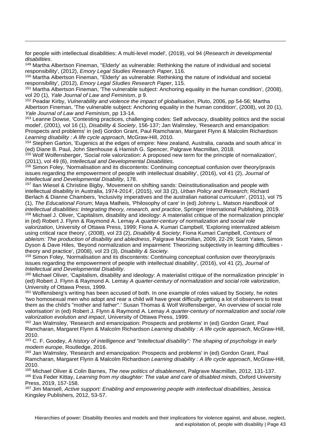for people with intellectual disabilities: A multi-level model', (2019), vol 94 (*Research in developmental disabilities*.

 $\overline{a}$ 

<span id="page-42-0"></span><sup>149</sup> Martha Albertson Fineman, ''Elderly' as vulnerable: Rethinking the nature of individual and societal responsibility', (2012), *Emory Legal Studies Research Paper*, 116.

<span id="page-42-1"></span><sup>150</sup> Martha Albertson Fineman, ''Elderly' as vulnerable: Rethinking the nature of individual and societal responsibility', (2012), *Emory Legal Studies Research Paper*, 115.

<span id="page-42-2"></span><sup>151</sup> Martha Albertson Fineman, 'The vulnerable subject: Anchoring equality in the human condition', (2008), vol 20 (1), *Yale Journal of Law and Feminism*, p 9.

<span id="page-42-3"></span><sup>152</sup> Peadar Kirby, *Vulnerability and violence the impact of globalisation*, Pluto, 2006, pp 54-56; Martha Albertson Fineman, 'The vulnerable subject: Anchoring equality in the human condition', (2008), vol 20 (1), *Yale Journal of Law and Feminism*, pp 13-14.

<span id="page-42-4"></span><sup>153</sup> Leanne Dowse, 'Contesting practices, challenging codes: Self advocacy, disability politics and the social model', (2001), vol 16 (1), *Disability & Society*, 156-137; Jan Walmsley, 'Research and emancipation: Prospects and problems' in (ed) Gordon Grant, Paul Ramcharan, Margaret Flynn & Malcolm Richardson *Learning disability : A life cycle approach*, McGraw-Hill, 2010.

<span id="page-42-5"></span><sup>154</sup> Stephen Garton, 'Eugenics at the edges of empire: New zealand, Australia, canada and south africa' in (ed) Diane B. Paul, John Stenhouse & Hamish G. Spencer, Palgrave Macmillan, 2018.

<span id="page-42-6"></span><sup>155</sup> Wolf Wolfensberger, 'Social role valorization: A proposed new term for the principle of normalization', (2011), vol 49 (6), *Intellectual and Developmental Disabilities*.

<span id="page-42-7"></span><sup>156</sup> Simon Foley, 'Normalisation and its discontents: Continuing conceptual confusion over theory/praxis issues regarding the empowerment of people with intellectual disability', (2016), vol 41 (2), *Journal of Intellectual and Developmental Disability*, 178.

<span id="page-42-8"></span><sup>157</sup> Ilan Wiesel & Christine Bigby, 'Movement on shifting sands: Deinstitutionalisation and people with intellectual disability in Australia, 1974-2014', (2015), vol 33 (2), *Urban Policy and Research*; Richard Berlach & Dianne Chambers, 'Inclusivity imperatives and the australian national curriculum', (2011), vol 75 (1), *The Educational Forum*; Maya Matheis, 'Philosophy of care' in (ed) Johnny L. Matson *Handbook of intellectual disabilities: Integrating theory, research, and practice*, Springer International Publishing, 2019.

<span id="page-42-9"></span><sup>158</sup> Michael J. Oliver, 'Capitalism, disability and ideology: A materialist critique of the normalization principle' in (ed) Robert J. Flynn & Raymond A. Lemay *A quarter-century of normalization and social role* 

*valorization*, University of Ottawa Press, 1999; Fiona A. Kumari Campbell, 'Exploring internalized ableism using critical race theory', (2008), vol 23 (2), *Disability & Society*; Fiona Kumari Campbell, *Contours of ableism: The production of disability and abledness*, Palgrave Macmillan, 2009, 22-29; Scott Yates, Simon Dyson & Dave Hiles, 'Beyond normalization and impairment: Theorizing subjectivity in learning difficulties theory and practice', (2008), vol 23 (3), *Disability & Society*.

<span id="page-42-10"></span><sup>159</sup> Simon Foley, 'Normalisation and its discontents: Continuing conceptual confusion over theory/praxis issues regarding the empowerment of people with intellectual disability', (2016), vol 41 (2), *Journal of Intellectual and Developmental Disability*.

<span id="page-42-11"></span><sup>160</sup> Michael Oliver, 'Capitalism, disability and ideology: A materialist critique of the normalization principle' in (ed) Robert J. Flynn & Raymond A. Lemay *A quarter-century of normalization and social role valorization*, University of Ottawa Press, 1999.

<span id="page-42-12"></span><sup>161</sup> Wolfensberg's writing has been accused of both. In one example of roles valued by Society, he notes 'two homosexual men who adopt and rear a child will have great difficulty getting a lot of observers to treat them as the child's "mother and father".' Susan Thomas & Wolf Wolfensberger, 'An overview of social role valorisation' in (ed) Robert J. Flynn & Raymond A. Lemay *A quarter-century of normalization and social role valorization evolution and impact*, University of Ottawa Press, 1999.

<span id="page-42-13"></span><sup>162</sup> Jan Walmsley, 'Research and emancipation: Prospects and problems' in (ed) Gordon Grant, Paul Ramcharan, Margaret Flynn & Malcolm Richardson *Learning disability : A life cycle approach*, McGraw-Hill, 2010.

<span id="page-42-14"></span><sup>163</sup> C. F. Goodey, *A history of intelligence and "intellectual disability": The shaping of psychology in early modern europe*, Routledge, 2016.

<span id="page-42-15"></span><sup>164</sup> Jan Walmsley, 'Research and emancipation: Prospects and problems' in (ed) Gordon Grant, Paul Ramcharan, Margaret Flynn & Malcolm Richardson *Learning disability : A life cycle approach*, McGraw-Hill, 2010.

<span id="page-42-17"></span><span id="page-42-16"></span><sup>165</sup> Michael Oliver & Colin Barnes, *The new politics of disablement*, Palgrave Macmillan, 2012, 131-137. <sup>166</sup> Eva Feder Kittay, *Learning from my daughter: The value and care of disabled minds*, Oxford University Press, 2019, 157-158.

<span id="page-42-18"></span><sup>167</sup> Jim Mansell, *Active support: Enabling and empowering people with intellectual disabilities*, Jessica Kingsley Publishers, 2012, 53-57.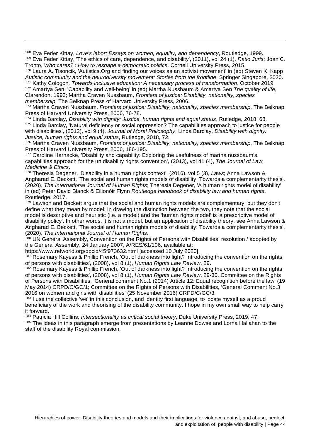<span id="page-43-1"></span><span id="page-43-0"></span><sup>168</sup> Eva Feder Kittay, *Love's labor: Essays on women, equality, and dependency*, Routledge, 1999. <sup>169</sup> Eva Feder Kittay, 'The ethics of care, dependence, and disability', (2011), vol 24 (1), *Ratio Juris*; Joan C. Tronto, *Who cares? : How to reshape a democratic politics*, Cornell University Press, 2015.

<span id="page-43-3"></span><span id="page-43-2"></span><sup>170</sup> Laura A. Tisoncik, 'Autistics.Org and finding our voices as an activist movement' in (ed) Steven K. Kapp *Autistic community and the neurodiversity movement: Stories from the frontline*, Springer Singapore, 2020. <sup>171</sup> Kathy Cologon*, Towards inclusive education: A necessary process of transformation*, October 2019. <sup>172</sup> Amartya Sen, 'Capability and well-being' in (ed) Martha Nussbaum & Amartya Sen *The quality of life*, Clarendon, 1993; Martha Craven Nussbaum, *Frontiers of justice: Disability, nationality, species* 

<span id="page-43-4"></span>*membership*, The Belknap Press of Harvard University Press, 2006.

 $\overline{a}$ 

<span id="page-43-5"></span><sup>173</sup> Martha Craven Nussbaum, *Frontiers of justice: Disability, nationality, species membership*, The Belknap Press of Harvard University Press, 2006, 76-78.

<span id="page-43-7"></span><span id="page-43-6"></span><sup>174</sup> Linda Barclay, *Disability with dignity: Justice, human rights and equal status*, Rutledge, 2018, 68. <sup>175</sup> Linda Barclay, 'Natural deficiency or social oppression? The capabilities approach to justice for people with disabilities', (2012), vol 9 (4), *Journal of Moral Philosophy*; Linda Barclay, *Disability with dignity: Justice, human rights and equal status*, Rutledge, 2018, 72.

<span id="page-43-8"></span><sup>176</sup> Martha Craven Nussbaum, *Frontiers of justice: Disability, nationality, species membership*, The Belknap Press of Harvard University Press, 2006, 186-195.

<span id="page-43-9"></span><sup>177</sup> Caroline Harnacke, 'Disability and capability: Exploring the usefulness of martha nussbaum's capabilities approach for the un disability rights convention', (2013), vol 41 (4), *The Journal of Law, Medicine & Ethics*.

<span id="page-43-10"></span><sup>178</sup> Theresia Degener, 'Disability in a human rights context', (2016), vol 5 (3), *Laws*; Anna Lawson & Angharad E. Beckett, 'The social and human rights models of disability: Towards a complementarity thesis', (2020), *The International Journal of Human Rights*; Theresia Degener, 'A human rights model of disability' in (ed) Peter David Blanck & Eilionóir Flynn *Routledge handbook of disability law and human rights*, Routledge, 2017.

<span id="page-43-11"></span><sup>179</sup> Lawson and Beckett argue that the social and human rights models are complementary, but they don't define what they mean by model. In drawing the distinction between the two, they note that the social model is descriptive and heuristic (i.e. a model) and the 'human rights model' is 'a prescriptive model of disability policy'. In other words, it is not a model, but an application of disability theory, see Anna Lawson & Angharad E. Beckett, 'The social and human rights models of disability: Towards a complementarity thesis', (2020), *The International Journal of Human Rights*.

<span id="page-43-12"></span>180 UN General Assembly, Convention on the Rights of Persons with Disabilities: resolution / adopted by the General Assembly, 24 January 2007, A/RES/61/106, available at:

https://www.refworld.org/docid/45f973632.html [accessed 10 July 2020].

<span id="page-43-13"></span><sup>181</sup> Rosemary Kayess & Phillip French, 'Out of darkness into light? Introducing the convention on the rights of persons with disabilities', (2008), vol 8 (1), *Human Rights Law Review*, 29.

<span id="page-43-14"></span>182 Rosemary Kayess & Phillip French, 'Out of darkness into light? Introducing the convention on the rights of persons with disabilities', (2008), vol 8 (1), *Human Rights Law Review*, 29-30. Committee on the Rights of Persons with Disabilities, 'General comment No.1 (2014) Article 12: Equal recognition before the law' (19 May 2014) CRPD/C/GC/1; Committee on the Rights of Persons with Disabilities, 'General Comment No.3 2016 on women and girls with disabilities' (25 November 2016) CRPD/C/GC/3.

<span id="page-43-15"></span><sup>183</sup> I use the collective 'we' in this conclusion, and identity first language, to locate myself as a proud beneficiary of the work and theorising of the disability community. I hope in my own small way to help carry it forward.

<span id="page-43-16"></span><sup>184</sup> Patricia Hill Collins, *Intersectionality as critical social theory*, Duke University Press, 2019, 47.

<span id="page-43-17"></span><sup>185</sup> The ideas in this paragraph emerge from presentations by Leanne Dowse and Lorna Hallahan to the staff of the disability Royal commission.